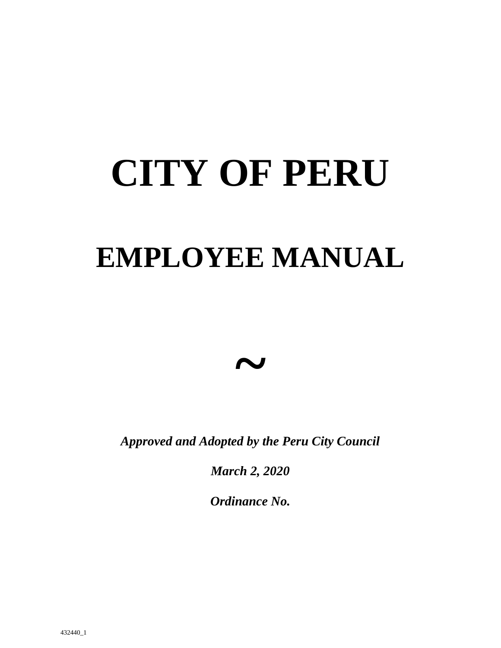# **CITY OF PERU**

# **EMPLOYEE MANUAL**

*~*

*Approved and Adopted by the Peru City Council*

*March 2, 2020*

*Ordinance No.*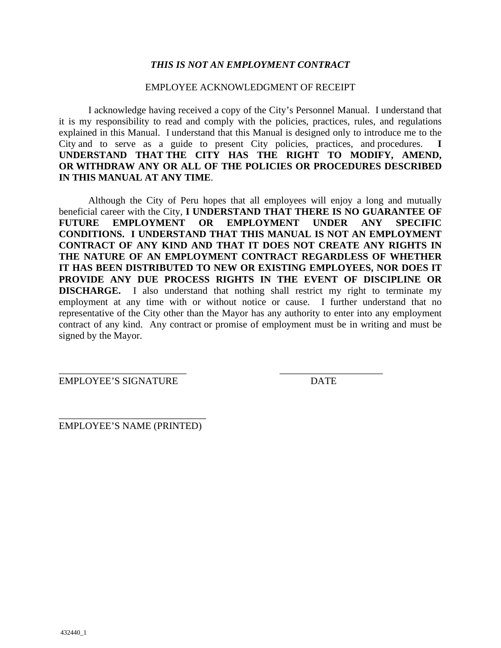#### *THIS IS NOT AN EMPLOYMENT CONTRACT*

#### EMPLOYEE ACKNOWLEDGMENT OF RECEIPT

I acknowledge having received a copy of the City's Personnel Manual. I understand that it is my responsibility to read and comply with the policies, practices, rules, and regulations explained in this Manual. I understand that this Manual is designed only to introduce me to the City and to serve as a guide to present City policies, practices, and procedures. **I UNDERSTAND THAT THE CITY HAS THE RIGHT TO MODIFY, AMEND, OR WITHDRAW ANY OR ALL OF THE POLICIES OR PROCEDURES DESCRIBED IN THIS MANUAL AT ANY TIME**.

Although the City of Peru hopes that all employees will enjoy a long and mutually beneficial career with the City, **I UNDERSTAND THAT THERE IS NO GUARANTEE OF FUTURE EMPLOYMENT OR EMPLOYMENT UNDER ANY SPECIFIC CONDITIONS. I UNDERSTAND THAT THIS MANUAL IS NOT AN EMPLOYMENT CONTRACT OF ANY KIND AND THAT IT DOES NOT CREATE ANY RIGHTS IN THE NATURE OF AN EMPLOYMENT CONTRACT REGARDLESS OF WHETHER IT HAS BEEN DISTRIBUTED TO NEW OR EXISTING EMPLOYEES, NOR DOES IT PROVIDE ANY DUE PROCESS RIGHTS IN THE EVENT OF DISCIPLINE OR DISCHARGE.** I also understand that nothing shall restrict my right to terminate my employment at any time with or without notice or cause. I further understand that no representative of the City other than the Mayor has any authority to enter into any employment contract of any kind. Any contract or promise of employment must be in writing and must be signed by the Mayor.

\_\_\_\_\_\_\_\_\_\_\_\_\_\_\_\_\_\_\_\_\_\_\_\_\_\_ \_\_\_\_\_\_\_\_\_\_\_\_\_\_\_\_\_\_\_\_\_

EMPLOYEE'S SIGNATURE DATE

\_\_\_\_\_\_\_\_\_\_\_\_\_\_\_\_\_\_\_\_\_\_\_\_\_\_\_\_\_\_ EMPLOYEE'S NAME (PRINTED)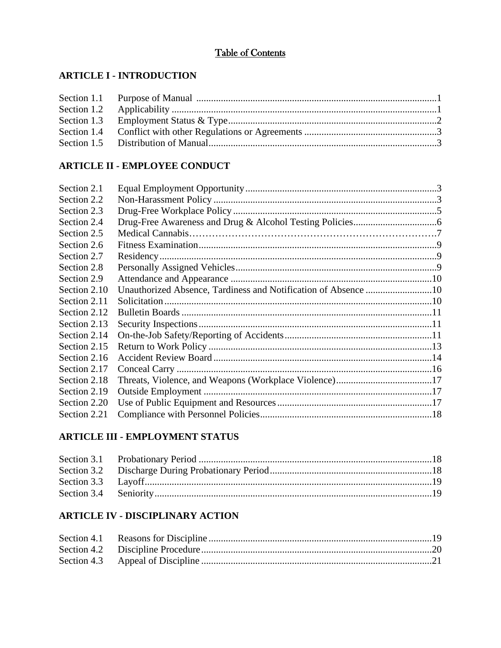# Table of Contents

# **ARTICLE I - INTRODUCTION**

# **ARTICLE II - EMPLOYEE CONDUCT**

| Section 2.1  |  |
|--------------|--|
| Section 2.2  |  |
| Section 2.3  |  |
| Section 2.4  |  |
| Section 2.5  |  |
| Section 2.6  |  |
| Section 2.7  |  |
| Section 2.8  |  |
| Section 2.9  |  |
| Section 2.10 |  |
| Section 2.11 |  |
| Section 2.12 |  |
| Section 2.13 |  |
| Section 2.14 |  |
| Section 2.15 |  |
| Section 2.16 |  |
| Section 2.17 |  |
| Section 2.18 |  |
| Section 2.19 |  |
| Section 2.20 |  |
| Section 2.21 |  |

# **ARTICLE III - EMPLOYMENT STATUS**

# **ARTICLE IV - DISCIPLINARY ACTION**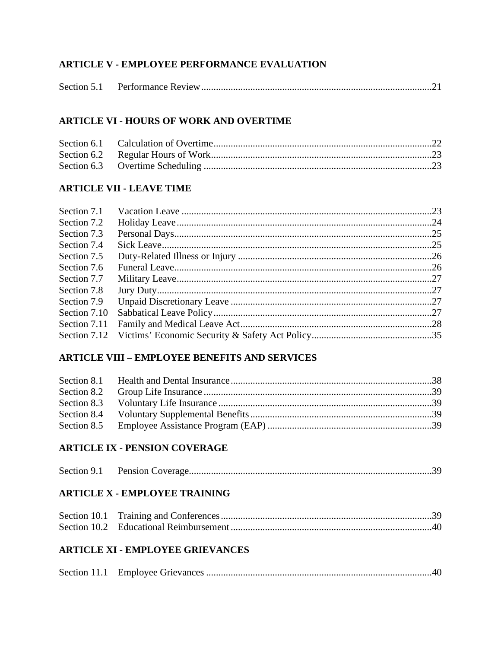# **ARTICLE V - EMPLOYEE PERFORMANCE EVALUATION**

|--|--|--|

# **ARTICLE VI - HOURS OF WORK AND OVERTIME**

# **ARTICLE VII - LEAVE TIME**

| Section 7.1  |  |
|--------------|--|
| Section 7.2  |  |
| Section 7.3  |  |
| Section 7.4  |  |
| Section 7.5  |  |
| Section 7.6  |  |
| Section 7.7  |  |
| Section 7.8  |  |
| Section 7.9  |  |
| Section 7.10 |  |
| Section 7.11 |  |
| Section 7.12 |  |
|              |  |

# **ARTICLE VIII - EMPLOYEE BENEFITS AND SERVICES**

# **ARTICLE IX - PENSION COVERAGE**

| Section 9.1 |  |
|-------------|--|
|             |  |

# **ARTICLE X - EMPLOYEE TRAINING**

# **ARTICLE XI - EMPLOYEE GRIEVANCES**

|--|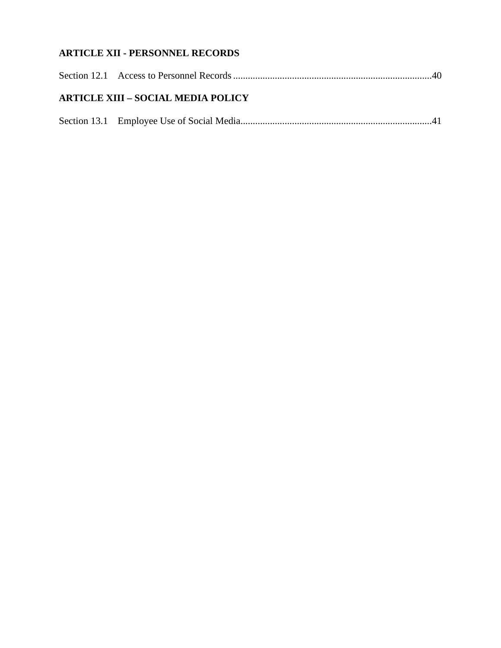# **ARTICLE XII - PERSONNEL RECORDS**

| <b>ARTICLE XIII - SOCIAL MEDIA POLICY</b> |
|-------------------------------------------|
|                                           |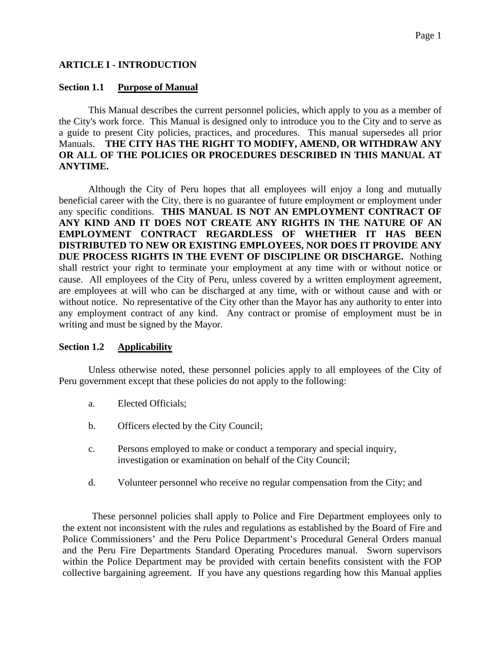#### **ARTICLE I - INTRODUCTION**

#### **Section 1.1 Purpose of Manual**

This Manual describes the current personnel policies, which apply to you as a member of the City's work force. This Manual is designed only to introduce you to the City and to serve as a guide to present City policies, practices, and procedures. This manual supersedes all prior Manuals. **THE CITY HAS THE RIGHT TO MODIFY, AMEND, OR WITHDRAW ANY OR ALL OF THE POLICIES OR PROCEDURES DESCRIBED IN THIS MANUAL AT ANYTIME.**

Although the City of Peru hopes that all employees will enjoy a long and mutually beneficial career with the City, there is no guarantee of future employment or employment under any specific conditions. **THIS MANUAL IS NOT AN EMPLOYMENT CONTRACT OF ANY KIND AND IT DOES NOT CREATE ANY RIGHTS IN THE NATURE OF AN EMPLOYMENT CONTRACT REGARDLESS OF WHETHER IT HAS BEEN DISTRIBUTED TO NEW OR EXISTING EMPLOYEES, NOR DOES IT PROVIDE ANY DUE PROCESS RIGHTS IN THE EVENT OF DISCIPLINE OR DISCHARGE.** Nothing shall restrict your right to terminate your employment at any time with or without notice or cause. All employees of the City of Peru, unless covered by a written employment agreement, are employees at will who can be discharged at any time, with or without cause and with or without notice. No representative of the City other than the Mayor has any authority to enter into any employment contract of any kind. Any contract or promise of employment must be in writing and must be signed by the Mayor.

#### **Section 1.2 Applicability**

Unless otherwise noted, these personnel policies apply to all employees of the City of Peru government except that these policies do not apply to the following:

- a. Elected Officials;
- b. Officers elected by the City Council;
- c. Persons employed to make or conduct a temporary and special inquiry, investigation or examination on behalf of the City Council;
- d. Volunteer personnel who receive no regular compensation from the City; and

These personnel policies shall apply to Police and Fire Department employees only to the extent not inconsistent with the rules and regulations as established by the Board of Fire and Police Commissioners' and the Peru Police Department's Procedural General Orders manual and the Peru Fire Departments Standard Operating Procedures manual. Sworn supervisors within the Police Department may be provided with certain benefits consistent with the FOP collective bargaining agreement. If you have any questions regarding how this Manual applies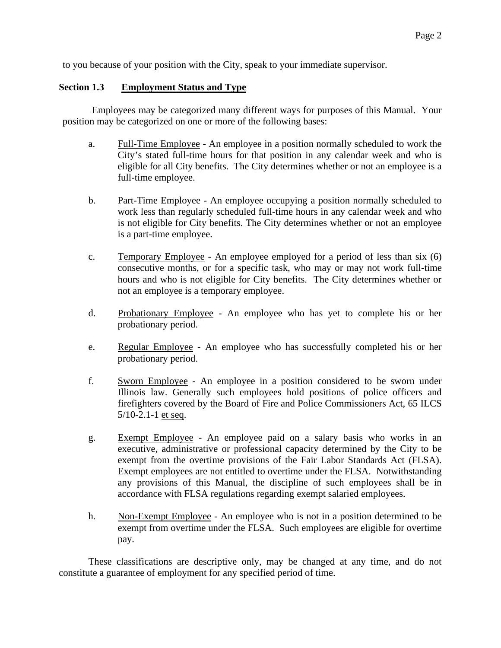to you because of your position with the City, speak to your immediate supervisor.

#### **Section 1.3 Employment Status and Type**

Employees may be categorized many different ways for purposes of this Manual. Your position may be categorized on one or more of the following bases:

- a. Full-Time Employee An employee in a position normally scheduled to work the City's stated full-time hours for that position in any calendar week and who is eligible for all City benefits. The City determines whether or not an employee is a full-time employee.
- b. Part-Time Employee An employee occupying a position normally scheduled to work less than regularly scheduled full-time hours in any calendar week and who is not eligible for City benefits. The City determines whether or not an employee is a part-time employee.
- c. Temporary Employee An employee employed for a period of less than six (6) consecutive months, or for a specific task, who may or may not work full-time hours and who is not eligible for City benefits. The City determines whether or not an employee is a temporary employee.
- d. Probationary Employee An employee who has yet to complete his or her probationary period.
- e. Regular Employee An employee who has successfully completed his or her probationary period.
- f. Sworn Employee An employee in a position considered to be sworn under Illinois law. Generally such employees hold positions of police officers and firefighters covered by the Board of Fire and Police Commissioners Act, 65 ILCS 5/10-2.1-1 et seq.
- g. Exempt Employee An employee paid on a salary basis who works in an executive, administrative or professional capacity determined by the City to be exempt from the overtime provisions of the Fair Labor Standards Act (FLSA). Exempt employees are not entitled to overtime under the FLSA. Notwithstanding any provisions of this Manual, the discipline of such employees shall be in accordance with FLSA regulations regarding exempt salaried employees.
- h. Non-Exempt Employee An employee who is not in a position determined to be exempt from overtime under the FLSA. Such employees are eligible for overtime pay.

These classifications are descriptive only, may be changed at any time, and do not constitute a guarantee of employment for any specified period of time.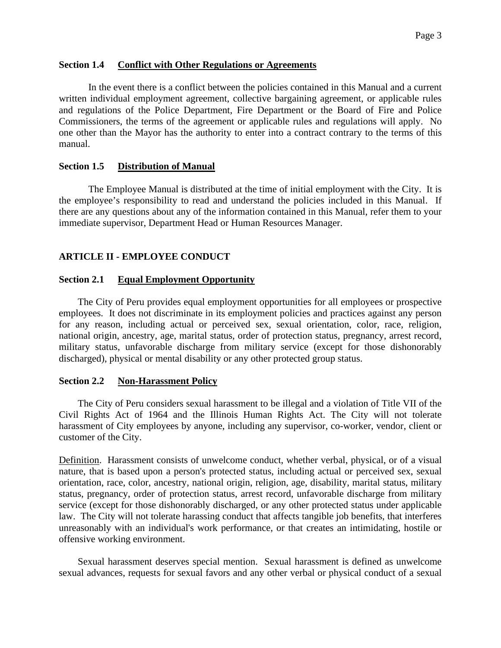#### **Section 1.4 Conflict with Other Regulations or Agreements**

In the event there is a conflict between the policies contained in this Manual and a current written individual employment agreement, collective bargaining agreement, or applicable rules and regulations of the Police Department, Fire Department or the Board of Fire and Police Commissioners, the terms of the agreement or applicable rules and regulations will apply. No one other than the Mayor has the authority to enter into a contract contrary to the terms of this manual.

#### **Section 1.5 Distribution of Manual**

The Employee Manual is distributed at the time of initial employment with the City. It is the employee's responsibility to read and understand the policies included in this Manual. If there are any questions about any of the information contained in this Manual, refer them to your immediate supervisor, Department Head or Human Resources Manager.

#### **ARTICLE II - EMPLOYEE CONDUCT**

#### **Section 2.1 Equal Employment Opportunity**

The City of Peru provides equal employment opportunities for all employees or prospective employees. It does not discriminate in its employment policies and practices against any person for any reason, including actual or perceived sex, sexual orientation, color, race, religion, national origin, ancestry, age, marital status, order of protection status, pregnancy, arrest record, military status, unfavorable discharge from military service (except for those dishonorably discharged), physical or mental disability or any other protected group status.

#### **Section 2.2 Non-Harassment Policy**

The City of Peru considers sexual harassment to be illegal and a violation of Title VII of the Civil Rights Act of 1964 and the Illinois Human Rights Act. The City will not tolerate harassment of City employees by anyone, including any supervisor, co-worker, vendor, client or customer of the City.

Definition. Harassment consists of unwelcome conduct, whether verbal, physical, or of a visual nature, that is based upon a person's protected status, including actual or perceived sex, sexual orientation, race, color, ancestry, national origin, religion, age, disability, marital status, military status, pregnancy, order of protection status, arrest record, unfavorable discharge from military service (except for those dishonorably discharged, or any other protected status under applicable law. The City will not tolerate harassing conduct that affects tangible job benefits, that interferes unreasonably with an individual's work performance, or that creates an intimidating, hostile or offensive working environment.

Sexual harassment deserves special mention. Sexual harassment is defined as unwelcome sexual advances, requests for sexual favors and any other verbal or physical conduct of a sexual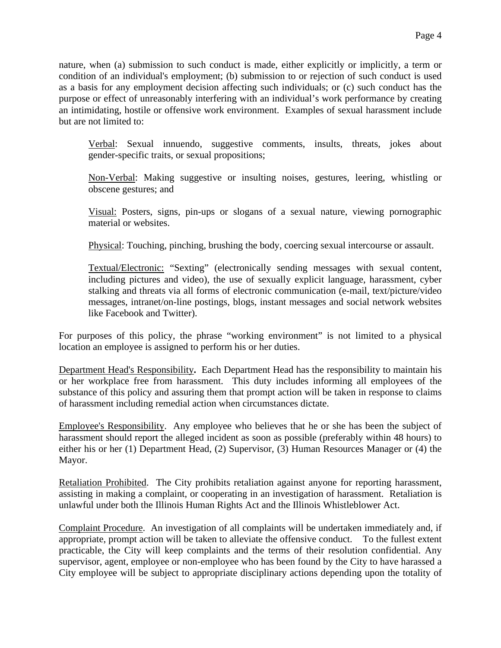nature, when (a) submission to such conduct is made, either explicitly or implicitly, a term or condition of an individual's employment; (b) submission to or rejection of such conduct is used as a basis for any employment decision affecting such individuals; or (c) such conduct has the purpose or effect of unreasonably interfering with an individual's work performance by creating an intimidating, hostile or offensive work environment. Examples of sexual harassment include but are not limited to:

Verbal: Sexual innuendo, suggestive comments, insults, threats, jokes about gender-specific traits, or sexual propositions;

Non-Verbal: Making suggestive or insulting noises, gestures, leering, whistling or obscene gestures; and

Visual: Posters, signs, pin-ups or slogans of a sexual nature, viewing pornographic material or websites.

Physical: Touching, pinching, brushing the body, coercing sexual intercourse or assault.

Textual/Electronic: "Sexting" (electronically sending messages with sexual content, including pictures and video), the use of sexually explicit language, harassment, cyber stalking and threats via all forms of electronic communication (e-mail, text/picture/video messages, intranet/on-line postings, blogs, instant messages and social network websites like Facebook and Twitter).

For purposes of this policy, the phrase "working environment" is not limited to a physical location an employee is assigned to perform his or her duties.

Department Head's Responsibility**.** Each Department Head has the responsibility to maintain his or her workplace free from harassment. This duty includes informing all employees of the substance of this policy and assuring them that prompt action will be taken in response to claims of harassment including remedial action when circumstances dictate.

Employee's Responsibility. Any employee who believes that he or she has been the subject of harassment should report the alleged incident as soon as possible (preferably within 48 hours) to either his or her (1) Department Head, (2) Supervisor, (3) Human Resources Manager or (4) the Mayor.

Retaliation Prohibited. The City prohibits retaliation against anyone for reporting harassment, assisting in making a complaint, or cooperating in an investigation of harassment. Retaliation is unlawful under both the Illinois Human Rights Act and the Illinois Whistleblower Act.

Complaint Procedure. An investigation of all complaints will be undertaken immediately and, if appropriate, prompt action will be taken to alleviate the offensive conduct. To the fullest extent practicable, the City will keep complaints and the terms of their resolution confidential. Any supervisor, agent, employee or non-employee who has been found by the City to have harassed a City employee will be subject to appropriate disciplinary actions depending upon the totality of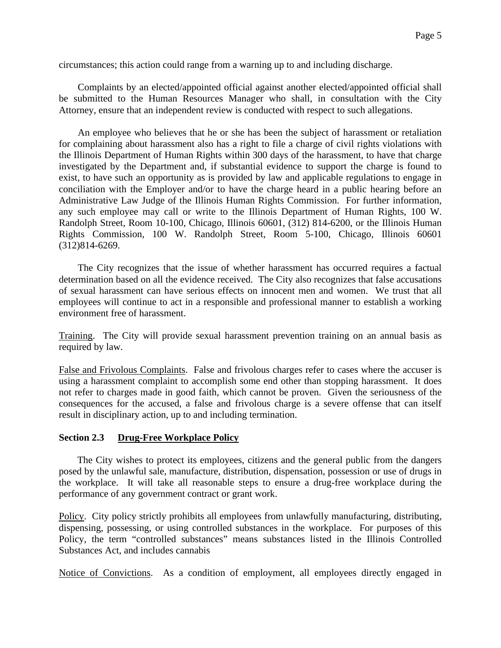circumstances; this action could range from a warning up to and including discharge.

Complaints by an elected/appointed official against another elected/appointed official shall be submitted to the Human Resources Manager who shall, in consultation with the City Attorney, ensure that an independent review is conducted with respect to such allegations.

An employee who believes that he or she has been the subject of harassment or retaliation for complaining about harassment also has a right to file a charge of civil rights violations with the Illinois Department of Human Rights within 300 days of the harassment, to have that charge investigated by the Department and, if substantial evidence to support the charge is found to exist, to have such an opportunity as is provided by law and applicable regulations to engage in conciliation with the Employer and/or to have the charge heard in a public hearing before an Administrative Law Judge of the Illinois Human Rights Commission. For further information, any such employee may call or write to the Illinois Department of Human Rights, 100 W. Randolph Street, Room 10-100, Chicago, Illinois 60601, (312) 814-6200, or the Illinois Human Rights Commission, 100 W. Randolph Street, Room 5-100, Chicago, Illinois 60601 (312)814-6269.

The City recognizes that the issue of whether harassment has occurred requires a factual determination based on all the evidence received. The City also recognizes that false accusations of sexual harassment can have serious effects on innocent men and women. We trust that all employees will continue to act in a responsible and professional manner to establish a working environment free of harassment.

Training. The City will provide sexual harassment prevention training on an annual basis as required by law.

False and Frivolous Complaints. False and frivolous charges refer to cases where the accuser is using a harassment complaint to accomplish some end other than stopping harassment. It does not refer to charges made in good faith, which cannot be proven. Given the seriousness of the consequences for the accused, a false and frivolous charge is a severe offense that can itself result in disciplinary action, up to and including termination.

#### **Section 2.3 Drug-Free Workplace Policy**

The City wishes to protect its employees, citizens and the general public from the dangers posed by the unlawful sale, manufacture, distribution, dispensation, possession or use of drugs in the workplace. It will take all reasonable steps to ensure a drug-free workplace during the performance of any government contract or grant work.

Policy. City policy strictly prohibits all employees from unlawfully manufacturing, distributing, dispensing, possessing, or using controlled substances in the workplace. For purposes of this Policy, the term "controlled substances" means substances listed in the Illinois Controlled Substances Act, and includes cannabis

Notice of Convictions. As a condition of employment, all employees directly engaged in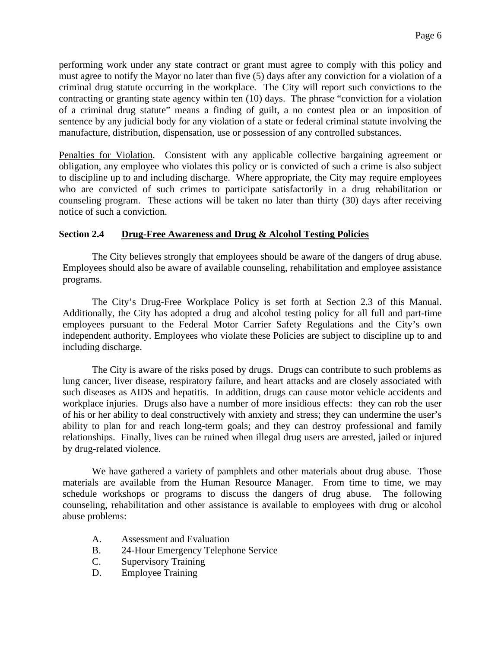performing work under any state contract or grant must agree to comply with this policy and must agree to notify the Mayor no later than five (5) days after any conviction for a violation of a criminal drug statute occurring in the workplace. The City will report such convictions to the contracting or granting state agency within ten (10) days. The phrase "conviction for a violation of a criminal drug statute" means a finding of guilt, a no contest plea or an imposition of sentence by any judicial body for any violation of a state or federal criminal statute involving the manufacture, distribution, dispensation, use or possession of any controlled substances.

Penalties for Violation. Consistent with any applicable collective bargaining agreement or obligation, any employee who violates this policy or is convicted of such a crime is also subject to discipline up to and including discharge. Where appropriate, the City may require employees who are convicted of such crimes to participate satisfactorily in a drug rehabilitation or counseling program. These actions will be taken no later than thirty (30) days after receiving notice of such a conviction.

# **Section 2.4 Drug-Free Awareness and Drug & Alcohol Testing Policies**

The City believes strongly that employees should be aware of the dangers of drug abuse. Employees should also be aware of available counseling, rehabilitation and employee assistance programs.

The City's Drug-Free Workplace Policy is set forth at Section 2.3 of this Manual. Additionally, the City has adopted a drug and alcohol testing policy for all full and part-time employees pursuant to the Federal Motor Carrier Safety Regulations and the City's own independent authority. Employees who violate these Policies are subject to discipline up to and including discharge.

The City is aware of the risks posed by drugs. Drugs can contribute to such problems as lung cancer, liver disease, respiratory failure, and heart attacks and are closely associated with such diseases as AIDS and hepatitis. In addition, drugs can cause motor vehicle accidents and workplace injuries. Drugs also have a number of more insidious effects: they can rob the user of his or her ability to deal constructively with anxiety and stress; they can undermine the user's ability to plan for and reach long-term goals; and they can destroy professional and family relationships. Finally, lives can be ruined when illegal drug users are arrested, jailed or injured by drug-related violence.

We have gathered a variety of pamphlets and other materials about drug abuse. Those materials are available from the Human Resource Manager. From time to time, we may schedule workshops or programs to discuss the dangers of drug abuse. The following counseling, rehabilitation and other assistance is available to employees with drug or alcohol abuse problems:

- A. Assessment and Evaluation
- B. 24-Hour Emergency Telephone Service
- C. Supervisory Training
- D. Employee Training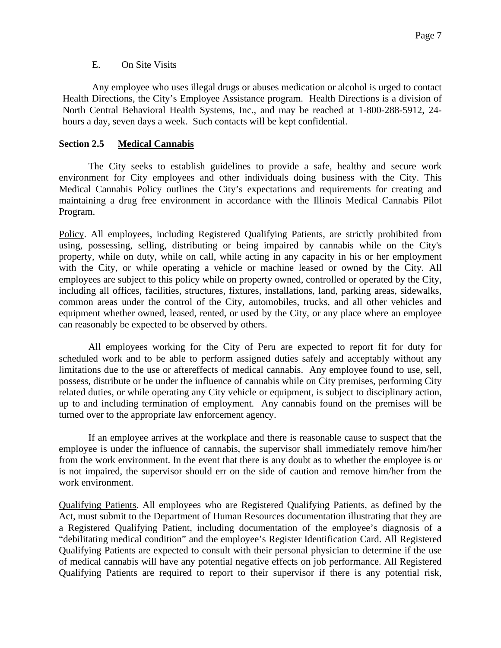#### E. On Site Visits

Any employee who uses illegal drugs or abuses medication or alcohol is urged to contact Health Directions, the City's Employee Assistance program. Health Directions is a division of North Central Behavioral Health Systems, Inc., and may be reached at 1-800-288-5912, 24 hours a day, seven days a week. Such contacts will be kept confidential.

# **Section 2.5 Medical Cannabis**

The City seeks to establish guidelines to provide a safe, healthy and secure work environment for City employees and other individuals doing business with the City. This Medical Cannabis Policy outlines the City's expectations and requirements for creating and maintaining a drug free environment in accordance with the Illinois Medical Cannabis Pilot Program.

Policy. All employees, including Registered Qualifying Patients, are strictly prohibited from using, possessing, selling, distributing or being impaired by cannabis while on the City's property, while on duty, while on call, while acting in any capacity in his or her employment with the City, or while operating a vehicle or machine leased or owned by the City. All employees are subject to this policy while on property owned, controlled or operated by the City, including all offices, facilities, structures, fixtures, installations, land, parking areas, sidewalks, common areas under the control of the City, automobiles, trucks, and all other vehicles and equipment whether owned, leased, rented, or used by the City, or any place where an employee can reasonably be expected to be observed by others.

All employees working for the City of Peru are expected to report fit for duty for scheduled work and to be able to perform assigned duties safely and acceptably without any limitations due to the use or aftereffects of medical cannabis. Any employee found to use, sell, possess, distribute or be under the influence of cannabis while on City premises, performing City related duties, or while operating any City vehicle or equipment, is subject to disciplinary action, up to and including termination of employment. Any cannabis found on the premises will be turned over to the appropriate law enforcement agency.

If an employee arrives at the workplace and there is reasonable cause to suspect that the employee is under the influence of cannabis, the supervisor shall immediately remove him/her from the work environment. In the event that there is any doubt as to whether the employee is or is not impaired, the supervisor should err on the side of caution and remove him/her from the work environment.

Qualifying Patients. All employees who are Registered Qualifying Patients, as defined by the Act, must submit to the Department of Human Resources documentation illustrating that they are a Registered Qualifying Patient, including documentation of the employee's diagnosis of a "debilitating medical condition" and the employee's Register Identification Card. All Registered Qualifying Patients are expected to consult with their personal physician to determine if the use of medical cannabis will have any potential negative effects on job performance. All Registered Qualifying Patients are required to report to their supervisor if there is any potential risk,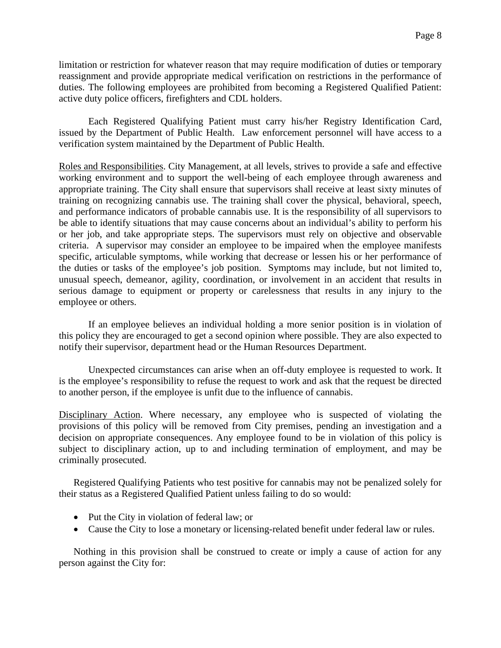limitation or restriction for whatever reason that may require modification of duties or temporary reassignment and provide appropriate medical verification on restrictions in the performance of duties. The following employees are prohibited from becoming a Registered Qualified Patient: active duty police officers, firefighters and CDL holders.

Each Registered Qualifying Patient must carry his/her Registry Identification Card, issued by the Department of Public Health. Law enforcement personnel will have access to a verification system maintained by the Department of Public Health.

Roles and Responsibilities. City Management, at all levels, strives to provide a safe and effective working environment and to support the well-being of each employee through awareness and appropriate training. The City shall ensure that supervisors shall receive at least sixty minutes of training on recognizing cannabis use. The training shall cover the physical, behavioral, speech, and performance indicators of probable cannabis use. It is the responsibility of all supervisors to be able to identify situations that may cause concerns about an individual's ability to perform his or her job, and take appropriate steps. The supervisors must rely on objective and observable criteria. A supervisor may consider an employee to be impaired when the employee manifests specific, articulable symptoms, while working that decrease or lessen his or her performance of the duties or tasks of the employee's job position. Symptoms may include, but not limited to, unusual speech, demeanor, agility, coordination, or involvement in an accident that results in serious damage to equipment or property or carelessness that results in any injury to the employee or others.

If an employee believes an individual holding a more senior position is in violation of this policy they are encouraged to get a second opinion where possible. They are also expected to notify their supervisor, department head or the Human Resources Department.

Unexpected circumstances can arise when an off-duty employee is requested to work. It is the employee's responsibility to refuse the request to work and ask that the request be directed to another person, if the employee is unfit due to the influence of cannabis.

Disciplinary Action. Where necessary, any employee who is suspected of violating the provisions of this policy will be removed from City premises, pending an investigation and a decision on appropriate consequences. Any employee found to be in violation of this policy is subject to disciplinary action, up to and including termination of employment, and may be criminally prosecuted.

Registered Qualifying Patients who test positive for cannabis may not be penalized solely for their status as a Registered Qualified Patient unless failing to do so would:

- Put the City in violation of federal law; or
- Cause the City to lose a monetary or licensing-related benefit under federal law or rules.

Nothing in this provision shall be construed to create or imply a cause of action for any person against the City for: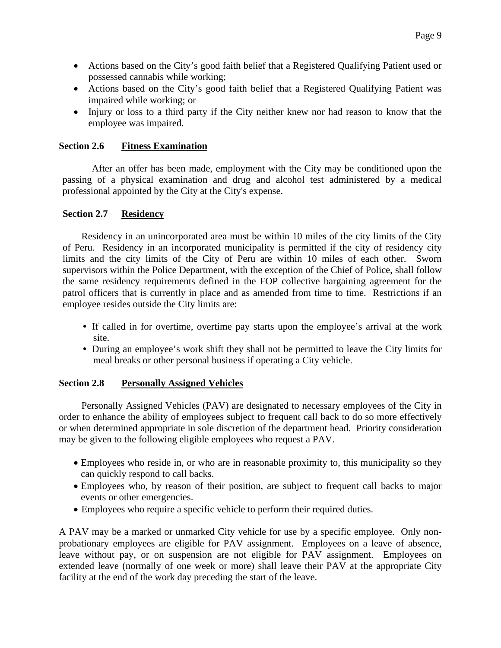- Actions based on the City's good faith belief that a Registered Qualifying Patient used or possessed cannabis while working;
- Actions based on the City's good faith belief that a Registered Qualifying Patient was impaired while working; or
- Injury or loss to a third party if the City neither knew nor had reason to know that the employee was impaired.

#### **Section 2.6 Fitness Examination**

After an offer has been made, employment with the City may be conditioned upon the passing of a physical examination and drug and alcohol test administered by a medical professional appointed by the City at the City's expense.

# **Section 2.7 Residency**

Residency in an unincorporated area must be within 10 miles of the city limits of the City of Peru. Residency in an incorporated municipality is permitted if the city of residency city limits and the city limits of the City of Peru are within 10 miles of each other. Sworn supervisors within the Police Department, with the exception of the Chief of Police, shall follow the same residency requirements defined in the FOP collective bargaining agreement for the patrol officers that is currently in place and as amended from time to time. Restrictions if an employee resides outside the City limits are:

- If called in for overtime, overtime pay starts upon the employee's arrival at the work site.
- During an employee's work shift they shall not be permitted to leave the City limits for meal breaks or other personal business if operating a City vehicle.

# **Section 2.8 Personally Assigned Vehicles**

Personally Assigned Vehicles (PAV) are designated to necessary employees of the City in order to enhance the ability of employees subject to frequent call back to do so more effectively or when determined appropriate in sole discretion of the department head. Priority consideration may be given to the following eligible employees who request a PAV.

- Employees who reside in, or who are in reasonable proximity to, this municipality so they can quickly respond to call backs.
- Employees who, by reason of their position, are subject to frequent call backs to major events or other emergencies.
- Employees who require a specific vehicle to perform their required duties.

A PAV may be a marked or unmarked City vehicle for use by a specific employee. Only nonprobationary employees are eligible for PAV assignment. Employees on a leave of absence, leave without pay, or on suspension are not eligible for PAV assignment. Employees on extended leave (normally of one week or more) shall leave their PAV at the appropriate City facility at the end of the work day preceding the start of the leave.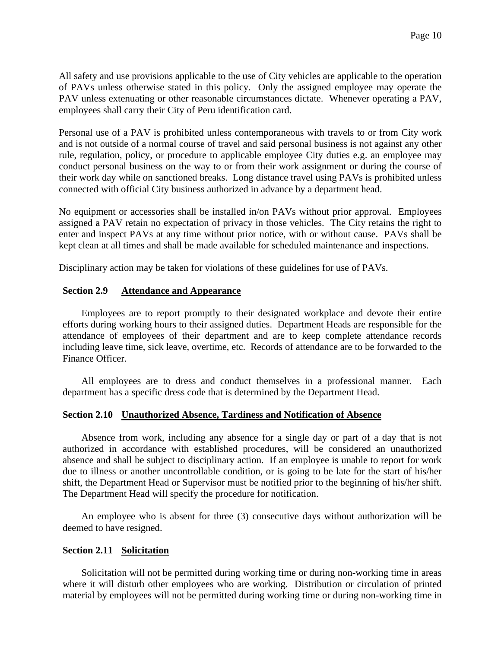All safety and use provisions applicable to the use of City vehicles are applicable to the operation of PAVs unless otherwise stated in this policy. Only the assigned employee may operate the PAV unless extenuating or other reasonable circumstances dictate. Whenever operating a PAV, employees shall carry their City of Peru identification card.

Personal use of a PAV is prohibited unless contemporaneous with travels to or from City work and is not outside of a normal course of travel and said personal business is not against any other rule, regulation, policy, or procedure to applicable employee City duties e.g. an employee may conduct personal business on the way to or from their work assignment or during the course of their work day while on sanctioned breaks. Long distance travel using PAVs is prohibited unless connected with official City business authorized in advance by a department head.

No equipment or accessories shall be installed in/on PAVs without prior approval. Employees assigned a PAV retain no expectation of privacy in those vehicles. The City retains the right to enter and inspect PAVs at any time without prior notice, with or without cause. PAVs shall be kept clean at all times and shall be made available for scheduled maintenance and inspections.

Disciplinary action may be taken for violations of these guidelines for use of PAVs.

#### **Section 2.9 Attendance and Appearance**

Employees are to report promptly to their designated workplace and devote their entire efforts during working hours to their assigned duties. Department Heads are responsible for the attendance of employees of their department and are to keep complete attendance records including leave time, sick leave, overtime, etc. Records of attendance are to be forwarded to the Finance Officer.

All employees are to dress and conduct themselves in a professional manner. Each department has a specific dress code that is determined by the Department Head.

#### **Section 2.10 Unauthorized Absence, Tardiness and Notification of Absence**

Absence from work, including any absence for a single day or part of a day that is not authorized in accordance with established procedures, will be considered an unauthorized absence and shall be subject to disciplinary action. If an employee is unable to report for work due to illness or another uncontrollable condition, or is going to be late for the start of his/her shift, the Department Head or Supervisor must be notified prior to the beginning of his/her shift. The Department Head will specify the procedure for notification.

An employee who is absent for three (3) consecutive days without authorization will be deemed to have resigned.

#### **Section 2.11 Solicitation**

Solicitation will not be permitted during working time or during non-working time in areas where it will disturb other employees who are working. Distribution or circulation of printed material by employees will not be permitted during working time or during non-working time in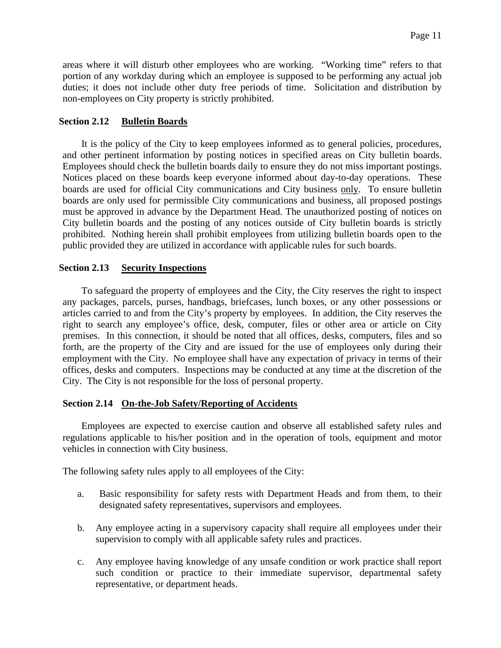areas where it will disturb other employees who are working. "Working time" refers to that portion of any workday during which an employee is supposed to be performing any actual job duties; it does not include other duty free periods of time. Solicitation and distribution by non-employees on City property is strictly prohibited.

#### **Section 2.12 Bulletin Boards**

It is the policy of the City to keep employees informed as to general policies, procedures, and other pertinent information by posting notices in specified areas on City bulletin boards. Employees should check the bulletin boards daily to ensure they do not miss important postings. Notices placed on these boards keep everyone informed about day-to-day operations. These boards are used for official City communications and City business only. To ensure bulletin boards are only used for permissible City communications and business, all proposed postings must be approved in advance by the Department Head. The unauthorized posting of notices on City bulletin boards and the posting of any notices outside of City bulletin boards is strictly prohibited. Nothing herein shall prohibit employees from utilizing bulletin boards open to the public provided they are utilized in accordance with applicable rules for such boards.

#### **Section 2.13 Security Inspections**

To safeguard the property of employees and the City, the City reserves the right to inspect any packages, parcels, purses, handbags, briefcases, lunch boxes, or any other possessions or articles carried to and from the City's property by employees. In addition, the City reserves the right to search any employee's office, desk, computer, files or other area or article on City premises. In this connection, it should be noted that all offices, desks, computers, files and so forth, are the property of the City and are issued for the use of employees only during their employment with the City. No employee shall have any expectation of privacy in terms of their offices, desks and computers. Inspections may be conducted at any time at the discretion of the City. The City is not responsible for the loss of personal property.

#### **Section 2.14 On-the-Job Safety/Reporting of Accidents**

Employees are expected to exercise caution and observe all established safety rules and regulations applicable to his/her position and in the operation of tools, equipment and motor vehicles in connection with City business.

The following safety rules apply to all employees of the City:

- a. Basic responsibility for safety rests with Department Heads and from them, to their designated safety representatives, supervisors and employees.
- b. Any employee acting in a supervisory capacity shall require all employees under their supervision to comply with all applicable safety rules and practices.
- c. Any employee having knowledge of any unsafe condition or work practice shall report such condition or practice to their immediate supervisor, departmental safety representative, or department heads.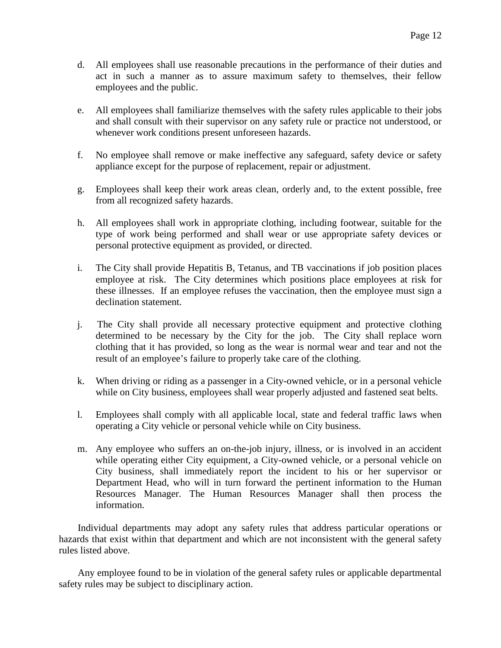- d. All employees shall use reasonable precautions in the performance of their duties and act in such a manner as to assure maximum safety to themselves, their fellow employees and the public.
- e. All employees shall familiarize themselves with the safety rules applicable to their jobs and shall consult with their supervisor on any safety rule or practice not understood, or whenever work conditions present unforeseen hazards.
- f. No employee shall remove or make ineffective any safeguard, safety device or safety appliance except for the purpose of replacement, repair or adjustment.
- g. Employees shall keep their work areas clean, orderly and, to the extent possible, free from all recognized safety hazards.
- h. All employees shall work in appropriate clothing, including footwear, suitable for the type of work being performed and shall wear or use appropriate safety devices or personal protective equipment as provided, or directed.
- i. The City shall provide Hepatitis B, Tetanus, and TB vaccinations if job position places employee at risk. The City determines which positions place employees at risk for these illnesses. If an employee refuses the vaccination, then the employee must sign a declination statement.
- j. The City shall provide all necessary protective equipment and protective clothing determined to be necessary by the City for the job. The City shall replace worn clothing that it has provided, so long as the wear is normal wear and tear and not the result of an employee's failure to properly take care of the clothing.
- k. When driving or riding as a passenger in a City-owned vehicle, or in a personal vehicle while on City business, employees shall wear properly adjusted and fastened seat belts.
- l. Employees shall comply with all applicable local, state and federal traffic laws when operating a City vehicle or personal vehicle while on City business.
- m. Any employee who suffers an on-the-job injury, illness, or is involved in an accident while operating either City equipment, a City-owned vehicle, or a personal vehicle on City business, shall immediately report the incident to his or her supervisor or Department Head, who will in turn forward the pertinent information to the Human Resources Manager. The Human Resources Manager shall then process the information.

Individual departments may adopt any safety rules that address particular operations or hazards that exist within that department and which are not inconsistent with the general safety rules listed above.

Any employee found to be in violation of the general safety rules or applicable departmental safety rules may be subject to disciplinary action.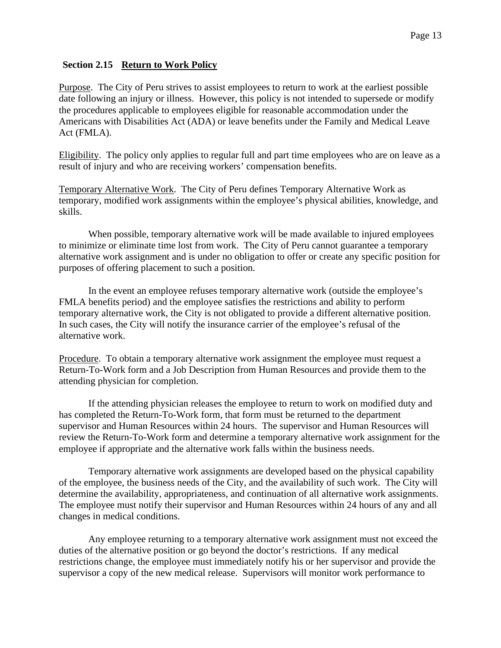# **Section 2.15 Return to Work Policy**

Purpose. The City of Peru strives to assist employees to return to work at the earliest possible date following an injury or illness. However, this policy is not intended to supersede or modify the procedures applicable to employees eligible for reasonable accommodation under the Americans with Disabilities Act (ADA) or leave benefits under the Family and Medical Leave Act (FMLA).

Eligibility. The policy only applies to regular full and part time employees who are on leave as a result of injury and who are receiving workers' compensation benefits.

Temporary Alternative Work. The City of Peru defines Temporary Alternative Work as temporary, modified work assignments within the employee's physical abilities, knowledge, and skills.

When possible, temporary alternative work will be made available to injured employees to minimize or eliminate time lost from work. The City of Peru cannot guarantee a temporary alternative work assignment and is under no obligation to offer or create any specific position for purposes of offering placement to such a position.

In the event an employee refuses temporary alternative work (outside the employee's FMLA benefits period) and the employee satisfies the restrictions and ability to perform temporary alternative work, the City is not obligated to provide a different alternative position. In such cases, the City will notify the insurance carrier of the employee's refusal of the alternative work.

Procedure. To obtain a temporary alternative work assignment the employee must request a Return-To-Work form and a Job Description from Human Resources and provide them to the attending physician for completion.

If the attending physician releases the employee to return to work on modified duty and has completed the Return-To-Work form, that form must be returned to the department supervisor and Human Resources within 24 hours. The supervisor and Human Resources will review the Return-To-Work form and determine a temporary alternative work assignment for the employee if appropriate and the alternative work falls within the business needs.

Temporary alternative work assignments are developed based on the physical capability of the employee, the business needs of the City, and the availability of such work. The City will determine the availability, appropriateness, and continuation of all alternative work assignments. The employee must notify their supervisor and Human Resources within 24 hours of any and all changes in medical conditions.

Any employee returning to a temporary alternative work assignment must not exceed the duties of the alternative position or go beyond the doctor's restrictions. If any medical restrictions change, the employee must immediately notify his or her supervisor and provide the supervisor a copy of the new medical release. Supervisors will monitor work performance to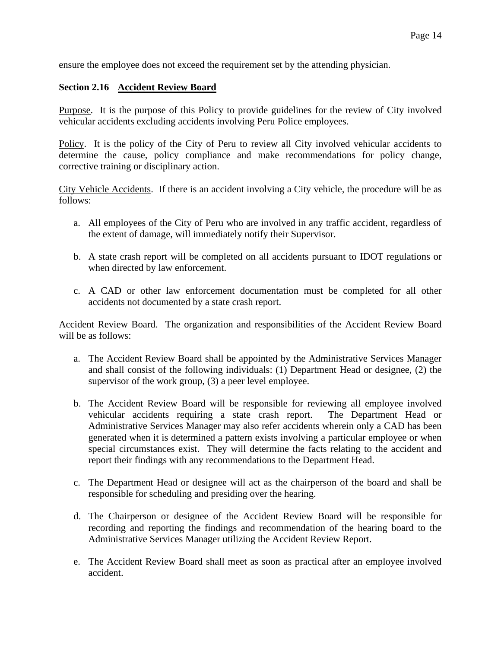ensure the employee does not exceed the requirement set by the attending physician.

# **Section 2.16 Accident Review Board**

Purpose. It is the purpose of this Policy to provide guidelines for the review of City involved vehicular accidents excluding accidents involving Peru Police employees.

Policy. It is the policy of the City of Peru to review all City involved vehicular accidents to determine the cause, policy compliance and make recommendations for policy change, corrective training or disciplinary action.

City Vehicle Accidents. If there is an accident involving a City vehicle, the procedure will be as follows:

- a. All employees of the City of Peru who are involved in any traffic accident, regardless of the extent of damage, will immediately notify their Supervisor.
- b. A state crash report will be completed on all accidents pursuant to IDOT regulations or when directed by law enforcement.
- c. A CAD or other law enforcement documentation must be completed for all other accidents not documented by a state crash report.

Accident Review Board. The organization and responsibilities of the Accident Review Board will be as follows:

- a. The Accident Review Board shall be appointed by the Administrative Services Manager and shall consist of the following individuals: (1) Department Head or designee, (2) the supervisor of the work group, (3) a peer level employee.
- b. The Accident Review Board will be responsible for reviewing all employee involved vehicular accidents requiring a state crash report. The Department Head or Administrative Services Manager may also refer accidents wherein only a CAD has been generated when it is determined a pattern exists involving a particular employee or when special circumstances exist. They will determine the facts relating to the accident and report their findings with any recommendations to the Department Head.
- c. The Department Head or designee will act as the chairperson of the board and shall be responsible for scheduling and presiding over the hearing.
- d. The Chairperson or designee of the Accident Review Board will be responsible for recording and reporting the findings and recommendation of the hearing board to the Administrative Services Manager utilizing the Accident Review Report.
- e. The Accident Review Board shall meet as soon as practical after an employee involved accident.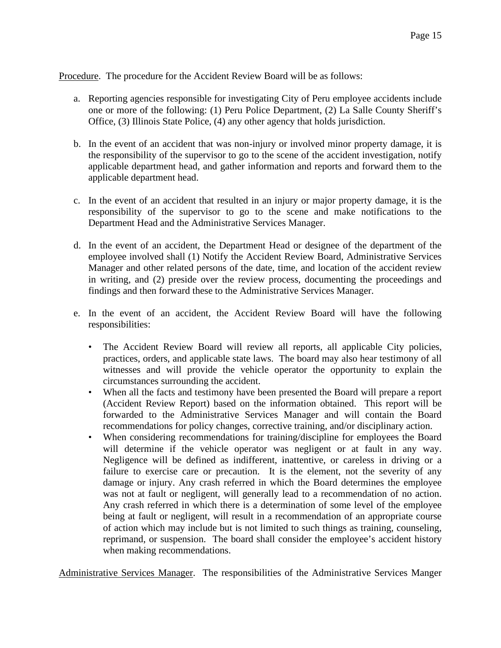Procedure. The procedure for the Accident Review Board will be as follows:

- a. Reporting agencies responsible for investigating City of Peru employee accidents include one or more of the following: (1) Peru Police Department, (2) La Salle County Sheriff's Office, (3) Illinois State Police, (4) any other agency that holds jurisdiction.
- b. In the event of an accident that was non-injury or involved minor property damage, it is the responsibility of the supervisor to go to the scene of the accident investigation, notify applicable department head, and gather information and reports and forward them to the applicable department head.
- c. In the event of an accident that resulted in an injury or major property damage, it is the responsibility of the supervisor to go to the scene and make notifications to the Department Head and the Administrative Services Manager.
- d. In the event of an accident, the Department Head or designee of the department of the employee involved shall (1) Notify the Accident Review Board, Administrative Services Manager and other related persons of the date, time, and location of the accident review in writing, and (2) preside over the review process, documenting the proceedings and findings and then forward these to the Administrative Services Manager.
- e. In the event of an accident, the Accident Review Board will have the following responsibilities:
	- The Accident Review Board will review all reports, all applicable City policies, practices, orders, and applicable state laws. The board may also hear testimony of all witnesses and will provide the vehicle operator the opportunity to explain the circumstances surrounding the accident.
	- When all the facts and testimony have been presented the Board will prepare a report (Accident Review Report) based on the information obtained. This report will be forwarded to the Administrative Services Manager and will contain the Board recommendations for policy changes, corrective training, and/or disciplinary action.
	- When considering recommendations for training/discipline for employees the Board will determine if the vehicle operator was negligent or at fault in any way. Negligence will be defined as indifferent, inattentive, or careless in driving or a failure to exercise care or precaution. It is the element, not the severity of any damage or injury. Any crash referred in which the Board determines the employee was not at fault or negligent, will generally lead to a recommendation of no action. Any crash referred in which there is a determination of some level of the employee being at fault or negligent, will result in a recommendation of an appropriate course of action which may include but is not limited to such things as training, counseling, reprimand, or suspension. The board shall consider the employee's accident history when making recommendations.

Administrative Services Manager. The responsibilities of the Administrative Services Manger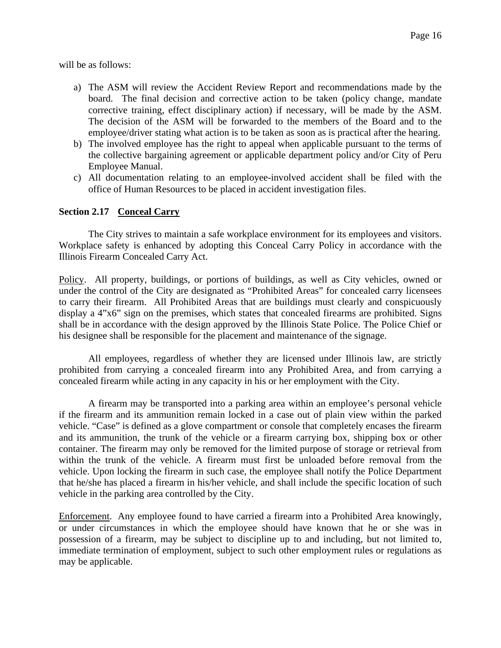will be as follows:

- a) The ASM will review the Accident Review Report and recommendations made by the board. The final decision and corrective action to be taken (policy change, mandate corrective training, effect disciplinary action) if necessary, will be made by the ASM. The decision of the ASM will be forwarded to the members of the Board and to the employee/driver stating what action is to be taken as soon as is practical after the hearing.
- b) The involved employee has the right to appeal when applicable pursuant to the terms of the collective bargaining agreement or applicable department policy and/or City of Peru Employee Manual.
- c) All documentation relating to an employee-involved accident shall be filed with the office of Human Resources to be placed in accident investigation files.

#### **Section 2.17 Conceal Carry**

The City strives to maintain a safe workplace environment for its employees and visitors. Workplace safety is enhanced by adopting this Conceal Carry Policy in accordance with the Illinois Firearm Concealed Carry Act.

Policy.All property, buildings, or portions of buildings, as well as City vehicles, owned or under the control of the City are designated as "Prohibited Areas" for concealed carry licensees to carry their firearm. All Prohibited Areas that are buildings must clearly and conspicuously display a 4"x6" sign on the premises, which states that concealed firearms are prohibited. Signs shall be in accordance with the design approved by the Illinois State Police. The Police Chief or his designee shall be responsible for the placement and maintenance of the signage.

All employees, regardless of whether they are licensed under Illinois law, are strictly prohibited from carrying a concealed firearm into any Prohibited Area, and from carrying a concealed firearm while acting in any capacity in his or her employment with the City.

A firearm may be transported into a parking area within an employee's personal vehicle if the firearm and its ammunition remain locked in a case out of plain view within the parked vehicle. "Case" is defined as a glove compartment or console that completely encases the firearm and its ammunition, the trunk of the vehicle or a firearm carrying box, shipping box or other container. The firearm may only be removed for the limited purpose of storage or retrieval from within the trunk of the vehicle. A firearm must first be unloaded before removal from the vehicle. Upon locking the firearm in such case, the employee shall notify the Police Department that he/she has placed a firearm in his/her vehicle, and shall include the specific location of such vehicle in the parking area controlled by the City.

Enforcement.Any employee found to have carried a firearm into a Prohibited Area knowingly, or under circumstances in which the employee should have known that he or she was in possession of a firearm, may be subject to discipline up to and including, but not limited to, immediate termination of employment, subject to such other employment rules or regulations as may be applicable.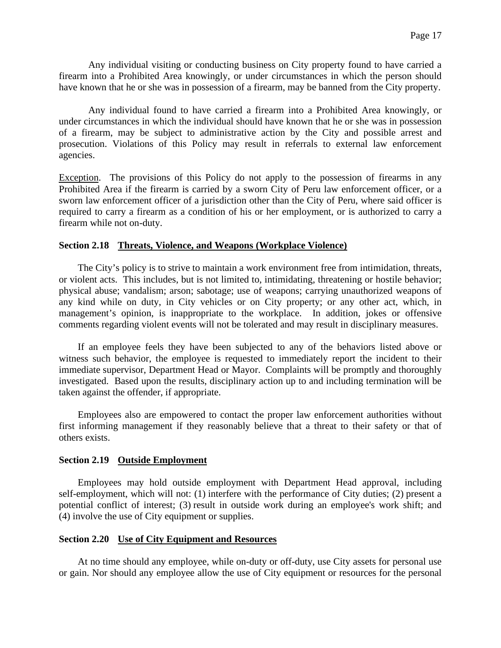Any individual visiting or conducting business on City property found to have carried a firearm into a Prohibited Area knowingly, or under circumstances in which the person should have known that he or she was in possession of a firearm, may be banned from the City property.

Any individual found to have carried a firearm into a Prohibited Area knowingly, or under circumstances in which the individual should have known that he or she was in possession of a firearm, may be subject to administrative action by the City and possible arrest and prosecution. Violations of this Policy may result in referrals to external law enforcement agencies.

Exception. The provisions of this Policy do not apply to the possession of firearms in any Prohibited Area if the firearm is carried by a sworn City of Peru law enforcement officer, or a sworn law enforcement officer of a jurisdiction other than the City of Peru, where said officer is required to carry a firearm as a condition of his or her employment, or is authorized to carry a firearm while not on-duty.

#### **Section 2.18 Threats, Violence, and Weapons (Workplace Violence)**

The City's policy is to strive to maintain a work environment free from intimidation, threats, or violent acts. This includes, but is not limited to, intimidating, threatening or hostile behavior; physical abuse; vandalism; arson; sabotage; use of weapons; carrying unauthorized weapons of any kind while on duty, in City vehicles or on City property; or any other act, which, in management's opinion, is inappropriate to the workplace. In addition, jokes or offensive comments regarding violent events will not be tolerated and may result in disciplinary measures.

If an employee feels they have been subjected to any of the behaviors listed above or witness such behavior, the employee is requested to immediately report the incident to their immediate supervisor, Department Head or Mayor. Complaints will be promptly and thoroughly investigated. Based upon the results, disciplinary action up to and including termination will be taken against the offender, if appropriate.

Employees also are empowered to contact the proper law enforcement authorities without first informing management if they reasonably believe that a threat to their safety or that of others exists.

#### **Section 2.19 Outside Employment**

Employees may hold outside employment with Department Head approval, including self-employment, which will not: (1) interfere with the performance of City duties; (2) present a potential conflict of interest; (3) result in outside work during an employee's work shift; and (4) involve the use of City equipment or supplies.

#### **Section 2.20 Use of City Equipment and Resources**

At no time should any employee, while on-duty or off-duty, use City assets for personal use or gain. Nor should any employee allow the use of City equipment or resources for the personal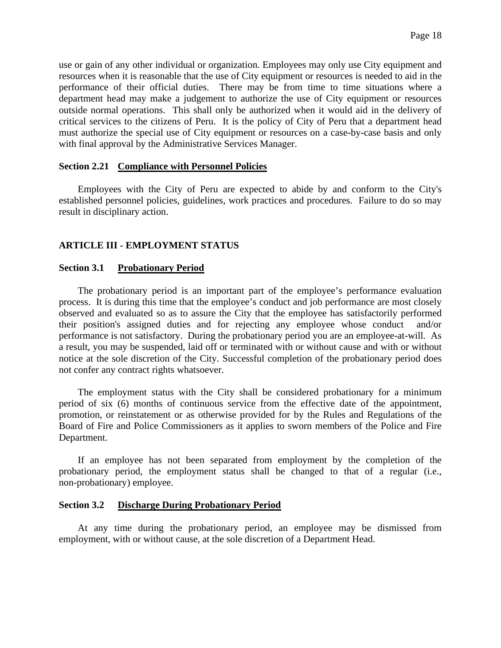use or gain of any other individual or organization. Employees may only use City equipment and resources when it is reasonable that the use of City equipment or resources is needed to aid in the performance of their official duties. There may be from time to time situations where a department head may make a judgement to authorize the use of City equipment or resources outside normal operations. This shall only be authorized when it would aid in the delivery of critical services to the citizens of Peru. It is the policy of City of Peru that a department head must authorize the special use of City equipment or resources on a case-by-case basis and only with final approval by the Administrative Services Manager.

#### **Section 2.21 Compliance with Personnel Policies**

Employees with the City of Peru are expected to abide by and conform to the City's established personnel policies, guidelines, work practices and procedures. Failure to do so may result in disciplinary action.

#### **ARTICLE III - EMPLOYMENT STATUS**

#### **Section 3.1 Probationary Period**

The probationary period is an important part of the employee's performance evaluation process. It is during this time that the employee's conduct and job performance are most closely observed and evaluated so as to assure the City that the employee has satisfactorily performed their position's assigned duties and for rejecting any employee whose conduct and/or performance is not satisfactory. During the probationary period you are an employee-at-will. As a result, you may be suspended, laid off or terminated with or without cause and with or without notice at the sole discretion of the City. Successful completion of the probationary period does not confer any contract rights whatsoever.

The employment status with the City shall be considered probationary for a minimum period of six (6) months of continuous service from the effective date of the appointment, promotion, or reinstatement or as otherwise provided for by the Rules and Regulations of the Board of Fire and Police Commissioners as it applies to sworn members of the Police and Fire Department.

If an employee has not been separated from employment by the completion of the probationary period, the employment status shall be changed to that of a regular (i.e., non-probationary) employee.

#### **Section 3.2 Discharge During Probationary Period**

At any time during the probationary period, an employee may be dismissed from employment, with or without cause, at the sole discretion of a Department Head.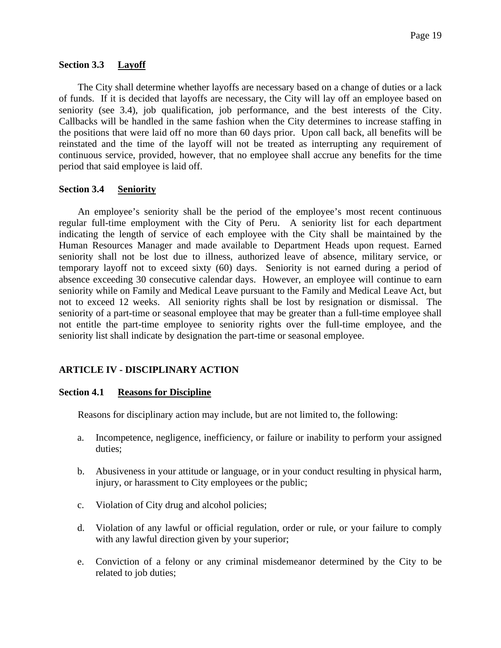#### **Section 3.3 Layoff**

The City shall determine whether layoffs are necessary based on a change of duties or a lack of funds. If it is decided that layoffs are necessary, the City will lay off an employee based on seniority (see 3.4), job qualification, job performance, and the best interests of the City. Callbacks will be handled in the same fashion when the City determines to increase staffing in the positions that were laid off no more than 60 days prior. Upon call back, all benefits will be reinstated and the time of the layoff will not be treated as interrupting any requirement of continuous service, provided, however, that no employee shall accrue any benefits for the time period that said employee is laid off.

#### **Section 3.4 Seniority**

An employee's seniority shall be the period of the employee's most recent continuous regular full-time employment with the City of Peru. A seniority list for each department indicating the length of service of each employee with the City shall be maintained by the Human Resources Manager and made available to Department Heads upon request. Earned seniority shall not be lost due to illness, authorized leave of absence, military service, or temporary layoff not to exceed sixty (60) days. Seniority is not earned during a period of absence exceeding 30 consecutive calendar days. However, an employee will continue to earn seniority while on Family and Medical Leave pursuant to the Family and Medical Leave Act, but not to exceed 12 weeks. All seniority rights shall be lost by resignation or dismissal. The seniority of a part-time or seasonal employee that may be greater than a full-time employee shall not entitle the part-time employee to seniority rights over the full-time employee, and the seniority list shall indicate by designation the part-time or seasonal employee.

#### **ARTICLE IV - DISCIPLINARY ACTION**

#### **Section 4.1 Reasons for Discipline**

Reasons for disciplinary action may include, but are not limited to, the following:

- a. Incompetence, negligence, inefficiency, or failure or inability to perform your assigned duties;
- b. Abusiveness in your attitude or language, or in your conduct resulting in physical harm, injury, or harassment to City employees or the public;
- c. Violation of City drug and alcohol policies;
- d. Violation of any lawful or official regulation, order or rule, or your failure to comply with any lawful direction given by your superior;
- e. Conviction of a felony or any criminal misdemeanor determined by the City to be related to job duties;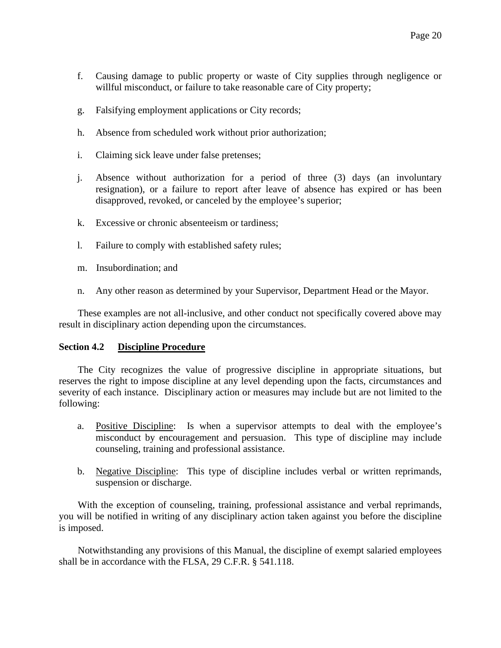- f. Causing damage to public property or waste of City supplies through negligence or willful misconduct, or failure to take reasonable care of City property;
- g. Falsifying employment applications or City records;
- h. Absence from scheduled work without prior authorization;
- i. Claiming sick leave under false pretenses;
- j. Absence without authorization for a period of three (3) days (an involuntary resignation), or a failure to report after leave of absence has expired or has been disapproved, revoked, or canceled by the employee's superior;
- k. Excessive or chronic absenteeism or tardiness;
- l. Failure to comply with established safety rules;
- m. Insubordination; and
- n. Any other reason as determined by your Supervisor, Department Head or the Mayor.

These examples are not all-inclusive, and other conduct not specifically covered above may result in disciplinary action depending upon the circumstances.

#### **Section 4.2 Discipline Procedure**

The City recognizes the value of progressive discipline in appropriate situations, but reserves the right to impose discipline at any level depending upon the facts, circumstances and severity of each instance. Disciplinary action or measures may include but are not limited to the following:

- a. Positive Discipline: Is when a supervisor attempts to deal with the employee's misconduct by encouragement and persuasion. This type of discipline may include counseling, training and professional assistance.
- b. Negative Discipline: This type of discipline includes verbal or written reprimands, suspension or discharge.

With the exception of counseling, training, professional assistance and verbal reprimands, you will be notified in writing of any disciplinary action taken against you before the discipline is imposed.

Notwithstanding any provisions of this Manual, the discipline of exempt salaried employees shall be in accordance with the FLSA, 29 C.F.R. § 541.118.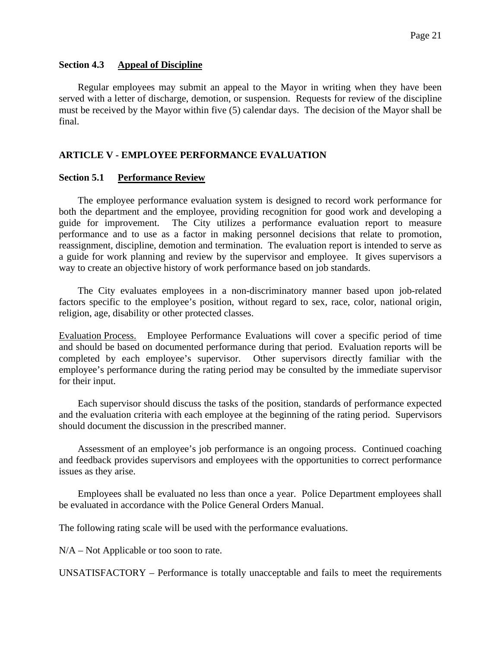#### **Section 4.3 Appeal of Discipline**

Regular employees may submit an appeal to the Mayor in writing when they have been served with a letter of discharge, demotion, or suspension. Requests for review of the discipline must be received by the Mayor within five (5) calendar days. The decision of the Mayor shall be final.

# **ARTICLE V - EMPLOYEE PERFORMANCE EVALUATION**

#### **Section 5.1 Performance Review**

The employee performance evaluation system is designed to record work performance for both the department and the employee, providing recognition for good work and developing a guide for improvement. The City utilizes a performance evaluation report to measure performance and to use as a factor in making personnel decisions that relate to promotion, reassignment, discipline, demotion and termination. The evaluation report is intended to serve as a guide for work planning and review by the supervisor and employee. It gives supervisors a way to create an objective history of work performance based on job standards.

The City evaluates employees in a non-discriminatory manner based upon job-related factors specific to the employee's position, without regard to sex, race, color, national origin, religion, age, disability or other protected classes.

Evaluation Process. Employee Performance Evaluations will cover a specific period of time and should be based on documented performance during that period. Evaluation reports will be completed by each employee's supervisor. Other supervisors directly familiar with the employee's performance during the rating period may be consulted by the immediate supervisor for their input.

Each supervisor should discuss the tasks of the position, standards of performance expected and the evaluation criteria with each employee at the beginning of the rating period. Supervisors should document the discussion in the prescribed manner.

Assessment of an employee's job performance is an ongoing process. Continued coaching and feedback provides supervisors and employees with the opportunities to correct performance issues as they arise.

Employees shall be evaluated no less than once a year. Police Department employees shall be evaluated in accordance with the Police General Orders Manual.

The following rating scale will be used with the performance evaluations.

N/A – Not Applicable or too soon to rate.

UNSATISFACTORY – Performance is totally unacceptable and fails to meet the requirements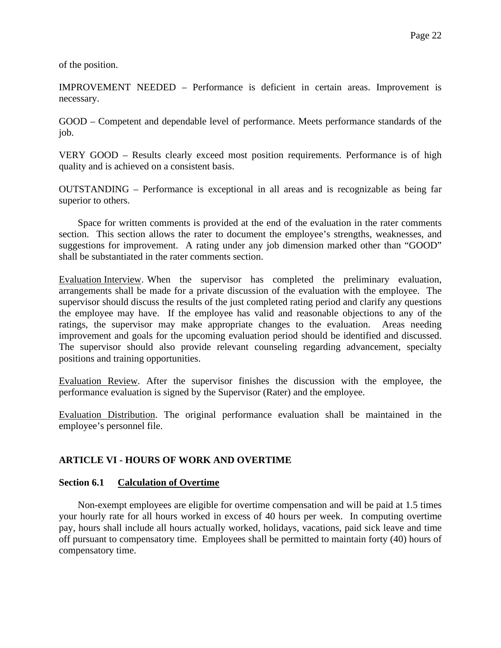of the position.

IMPROVEMENT NEEDED – Performance is deficient in certain areas. Improvement is necessary.

GOOD – Competent and dependable level of performance. Meets performance standards of the job.

VERY GOOD – Results clearly exceed most position requirements. Performance is of high quality and is achieved on a consistent basis.

OUTSTANDING – Performance is exceptional in all areas and is recognizable as being far superior to others.

Space for written comments is provided at the end of the evaluation in the rater comments section. This section allows the rater to document the employee's strengths, weaknesses, and suggestions for improvement. A rating under any job dimension marked other than "GOOD" shall be substantiated in the rater comments section.

Evaluation Interview. When the supervisor has completed the preliminary evaluation, arrangements shall be made for a private discussion of the evaluation with the employee. The supervisor should discuss the results of the just completed rating period and clarify any questions the employee may have. If the employee has valid and reasonable objections to any of the ratings, the supervisor may make appropriate changes to the evaluation. Areas needing improvement and goals for the upcoming evaluation period should be identified and discussed. The supervisor should also provide relevant counseling regarding advancement, specialty positions and training opportunities.

Evaluation Review. After the supervisor finishes the discussion with the employee, the performance evaluation is signed by the Supervisor (Rater) and the employee.

Evaluation Distribution. The original performance evaluation shall be maintained in the employee's personnel file.

#### **ARTICLE VI - HOURS OF WORK AND OVERTIME**

#### **Section 6.1 Calculation of Overtime**

Non-exempt employees are eligible for overtime compensation and will be paid at 1.5 times your hourly rate for all hours worked in excess of 40 hours per week. In computing overtime pay, hours shall include all hours actually worked, holidays, vacations, paid sick leave and time off pursuant to compensatory time. Employees shall be permitted to maintain forty (40) hours of compensatory time.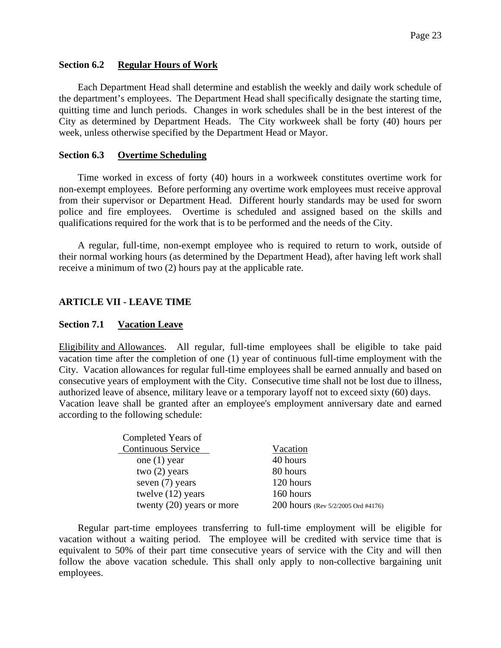#### **Section 6.2 Regular Hours of Work**

Each Department Head shall determine and establish the weekly and daily work schedule of the department's employees. The Department Head shall specifically designate the starting time, quitting time and lunch periods. Changes in work schedules shall be in the best interest of the City as determined by Department Heads. The City workweek shall be forty (40) hours per week, unless otherwise specified by the Department Head or Mayor.

#### **Section 6.3 Overtime Scheduling**

Time worked in excess of forty (40) hours in a workweek constitutes overtime work for non-exempt employees. Before performing any overtime work employees must receive approval from their supervisor or Department Head. Different hourly standards may be used for sworn police and fire employees. Overtime is scheduled and assigned based on the skills and qualifications required for the work that is to be performed and the needs of the City.

A regular, full-time, non-exempt employee who is required to return to work, outside of their normal working hours (as determined by the Department Head), after having left work shall receive a minimum of two (2) hours pay at the applicable rate.

#### **ARTICLE VII - LEAVE TIME**

#### **Section 7.1 Vacation Leave**

Eligibility and Allowances. All regular, full-time employees shall be eligible to take paid vacation time after the completion of one (1) year of continuous full-time employment with the City. Vacation allowances for regular full-time employees shall be earned annually and based on consecutive years of employment with the City. Consecutive time shall not be lost due to illness, authorized leave of absence, military leave or a temporary layoff not to exceed sixty (60) days. Vacation leave shall be granted after an employee's employment anniversary date and earned according to the following schedule:

| Completed Years of          |                                    |
|-----------------------------|------------------------------------|
| <b>Continuous Service</b>   | Vacation                           |
| one $(1)$ year              | 40 hours                           |
| two $(2)$ years             | 80 hours                           |
| seven $(7)$ years           | 120 hours                          |
| twelve (12) years           | 160 hours                          |
| twenty $(20)$ years or more | 200 hours (Rev 5/2/2005 Ord #4176) |

Regular part-time employees transferring to full-time employment will be eligible for vacation without a waiting period. The employee will be credited with service time that is equivalent to 50% of their part time consecutive years of service with the City and will then follow the above vacation schedule. This shall only apply to non-collective bargaining unit employees.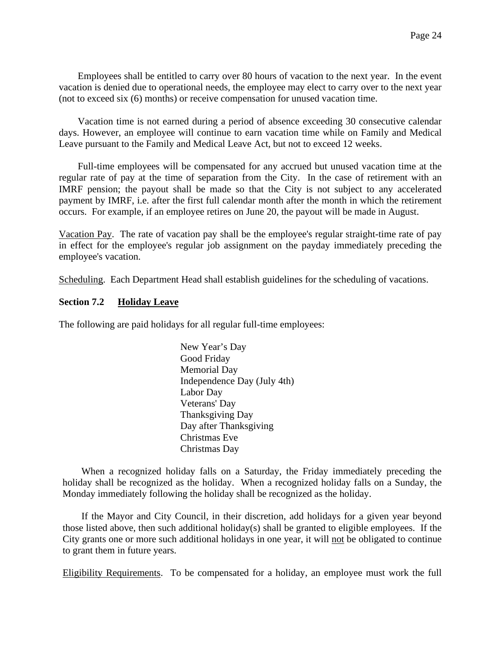Employees shall be entitled to carry over 80 hours of vacation to the next year. In the event vacation is denied due to operational needs, the employee may elect to carry over to the next year (not to exceed six (6) months) or receive compensation for unused vacation time.

Vacation time is not earned during a period of absence exceeding 30 consecutive calendar days. However, an employee will continue to earn vacation time while on Family and Medical Leave pursuant to the Family and Medical Leave Act, but not to exceed 12 weeks.

Full-time employees will be compensated for any accrued but unused vacation time at the regular rate of pay at the time of separation from the City. In the case of retirement with an IMRF pension; the payout shall be made so that the City is not subject to any accelerated payment by IMRF, i.e. after the first full calendar month after the month in which the retirement occurs. For example, if an employee retires on June 20, the payout will be made in August.

Vacation Pay. The rate of vacation pay shall be the employee's regular straight-time rate of pay in effect for the employee's regular job assignment on the payday immediately preceding the employee's vacation.

Scheduling. Each Department Head shall establish guidelines for the scheduling of vacations.

#### **Section 7.2 Holiday Leave**

The following are paid holidays for all regular full-time employees:

New Year's Day Good Friday Memorial Day Independence Day (July 4th) Labor Day Veterans' Day Thanksgiving Day Day after Thanksgiving Christmas Eve Christmas Day

When a recognized holiday falls on a Saturday, the Friday immediately preceding the holiday shall be recognized as the holiday. When a recognized holiday falls on a Sunday, the Monday immediately following the holiday shall be recognized as the holiday.

If the Mayor and City Council, in their discretion, add holidays for a given year beyond those listed above, then such additional holiday(s) shall be granted to eligible employees. If the City grants one or more such additional holidays in one year, it will not be obligated to continue to grant them in future years.

Eligibility Requirements. To be compensated for a holiday, an employee must work the full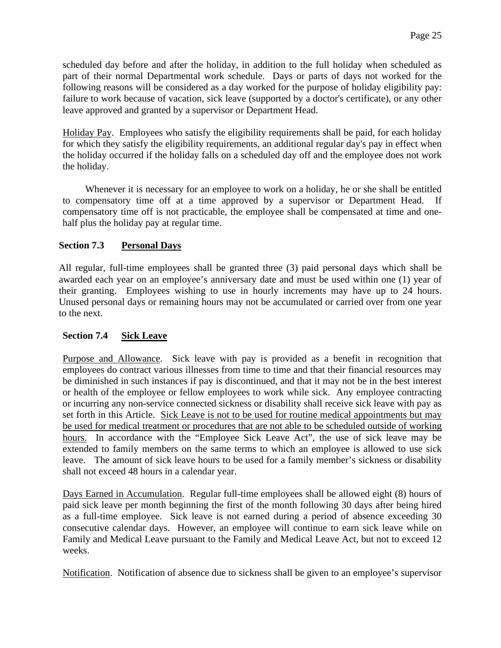scheduled day before and after the holiday, in addition to the full holiday when scheduled as part of their normal Departmental work schedule. Days or parts of days not worked for the following reasons will be considered as a day worked for the purpose of holiday eligibility pay: failure to work because of vacation, sick leave (supported by a doctor's certificate), or any other leave approved and granted by a supervisor or Department Head.

Holiday Pay. Employees who satisfy the eligibility requirements shall be paid, for each holiday for which they satisfy the eligibility requirements, an additional regular day's pay in effect when the holiday occurred if the holiday falls on a scheduled day off and the employee does not work the holiday.

Whenever it is necessary for an employee to work on a holiday, he or she shall be entitled to compensatory time off at a time approved by a supervisor or Department Head. compensatory time off is not practicable, the employee shall be compensated at time and onehalf plus the holiday pay at regular time.

# **Section 7.3 Personal Days**

All regular, full-time employees shall be granted three (3) paid personal days which shall be awarded each year on an employee's anniversary date and must be used within one (1) year of their granting. Employees wishing to use in hourly increments may have up to 24 hours. Unused personal days or remaining hours may not be accumulated or carried over from one year to the next.

# **Section 7.4 Sick Leave**

Purpose and Allowance. Sick leave with pay is provided as a benefit in recognition that employees do contract various illnesses from time to time and that their financial resources may be diminished in such instances if pay is discontinued, and that it may not be in the best interest or health of the employee or fellow employees to work while sick. Any employee contracting or incurring any non-service connected sickness or disability shall receive sick leave with pay as set forth in this Article. Sick Leave is not to be used for routine medical appointments but may be used for medical treatment or procedures that are not able to be scheduled outside of working hours. In accordance with the "Employee Sick Leave Act", the use of sick leave may be extended to family members on the same terms to which an employee is allowed to use sick leave. The amount of sick leave hours to be used for a family member's sickness or disability shall not exceed 48 hours in a calendar year.

Days Earned in Accumulation. Regular full-time employees shall be allowed eight (8) hours of paid sick leave per month beginning the first of the month following 30 days after being hired as a full-time employee. Sick leave is not earned during a period of absence exceeding 30 consecutive calendar days. However, an employee will continue to earn sick leave while on Family and Medical Leave pursuant to the Family and Medical Leave Act, but not to exceed 12 weeks.

Notification. Notification of absence due to sickness shall be given to an employee's supervisor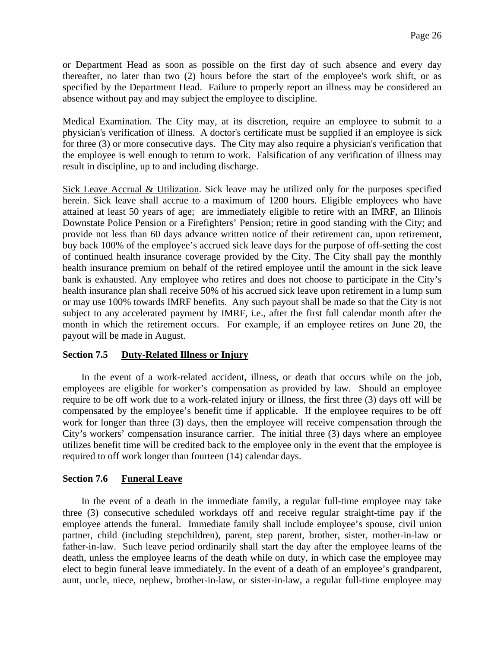or Department Head as soon as possible on the first day of such absence and every day thereafter, no later than two (2) hours before the start of the employee's work shift, or as specified by the Department Head. Failure to properly report an illness may be considered an absence without pay and may subject the employee to discipline.

Medical Examination. The City may, at its discretion, require an employee to submit to a physician's verification of illness. A doctor's certificate must be supplied if an employee is sick for three (3) or more consecutive days. The City may also require a physician's verification that the employee is well enough to return to work. Falsification of any verification of illness may result in discipline, up to and including discharge.

Sick Leave Accrual & Utilization. Sick leave may be utilized only for the purposes specified herein. Sick leave shall accrue to a maximum of 1200 hours. Eligible employees who have attained at least 50 years of age; are immediately eligible to retire with an IMRF, an Illinois Downstate Police Pension or a Firefighters' Pension; retire in good standing with the City; and provide not less than 60 days advance written notice of their retirement can, upon retirement, buy back 100% of the employee's accrued sick leave days for the purpose of off-setting the cost of continued health insurance coverage provided by the City. The City shall pay the monthly health insurance premium on behalf of the retired employee until the amount in the sick leave bank is exhausted. Any employee who retires and does not choose to participate in the City's health insurance plan shall receive 50% of his accrued sick leave upon retirement in a lump sum or may use 100% towards IMRF benefits. Any such payout shall be made so that the City is not subject to any accelerated payment by IMRF, i.e., after the first full calendar month after the month in which the retirement occurs. For example, if an employee retires on June 20, the payout will be made in August.

#### **Section 7.5 Duty-Related Illness or Injury**

In the event of a work-related accident, illness, or death that occurs while on the job, employees are eligible for worker's compensation as provided by law. Should an employee require to be off work due to a work-related injury or illness, the first three (3) days off will be compensated by the employee's benefit time if applicable. If the employee requires to be off work for longer than three (3) days, then the employee will receive compensation through the City's workers' compensation insurance carrier. The initial three (3) days where an employee utilizes benefit time will be credited back to the employee only in the event that the employee is required to off work longer than fourteen (14) calendar days.

#### **Section 7.6 Funeral Leave**

In the event of a death in the immediate family, a regular full-time employee may take three (3) consecutive scheduled workdays off and receive regular straight-time pay if the employee attends the funeral. Immediate family shall include employee's spouse, civil union partner, child (including stepchildren), parent, step parent, brother, sister, mother-in-law or father-in-law. Such leave period ordinarily shall start the day after the employee learns of the death, unless the employee learns of the death while on duty, in which case the employee may elect to begin funeral leave immediately. In the event of a death of an employee's grandparent, aunt, uncle, niece, nephew, brother-in-law, or sister-in-law, a regular full-time employee may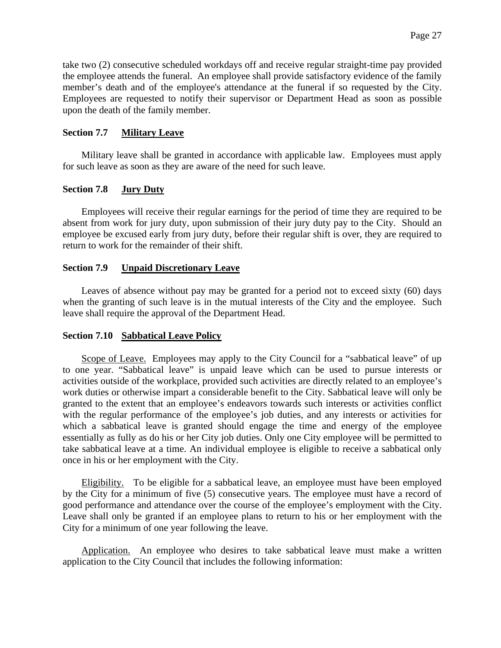take two (2) consecutive scheduled workdays off and receive regular straight-time pay provided the employee attends the funeral. An employee shall provide satisfactory evidence of the family member's death and of the employee's attendance at the funeral if so requested by the City. Employees are requested to notify their supervisor or Department Head as soon as possible upon the death of the family member.

#### **Section 7.7 Military Leave**

Military leave shall be granted in accordance with applicable law. Employees must apply for such leave as soon as they are aware of the need for such leave.

# **Section 7.8 Jury Duty**

Employees will receive their regular earnings for the period of time they are required to be absent from work for jury duty, upon submission of their jury duty pay to the City. Should an employee be excused early from jury duty, before their regular shift is over, they are required to return to work for the remainder of their shift.

#### **Section 7.9 Unpaid Discretionary Leave**

Leaves of absence without pay may be granted for a period not to exceed sixty (60) days when the granting of such leave is in the mutual interests of the City and the employee. Such leave shall require the approval of the Department Head.

#### **Section 7.10 Sabbatical Leave Policy**

Scope of Leave. Employees may apply to the City Council for a "sabbatical leave" of up to one year. "Sabbatical leave" is unpaid leave which can be used to pursue interests or activities outside of the workplace, provided such activities are directly related to an employee's work duties or otherwise impart a considerable benefit to the City. Sabbatical leave will only be granted to the extent that an employee's endeavors towards such interests or activities conflict with the regular performance of the employee's job duties, and any interests or activities for which a sabbatical leave is granted should engage the time and energy of the employee essentially as fully as do his or her City job duties. Only one City employee will be permitted to take sabbatical leave at a time. An individual employee is eligible to receive a sabbatical only once in his or her employment with the City.

Eligibility. To be eligible for a sabbatical leave, an employee must have been employed by the City for a minimum of five (5) consecutive years. The employee must have a record of good performance and attendance over the course of the employee's employment with the City. Leave shall only be granted if an employee plans to return to his or her employment with the City for a minimum of one year following the leave.

Application. An employee who desires to take sabbatical leave must make a written application to the City Council that includes the following information: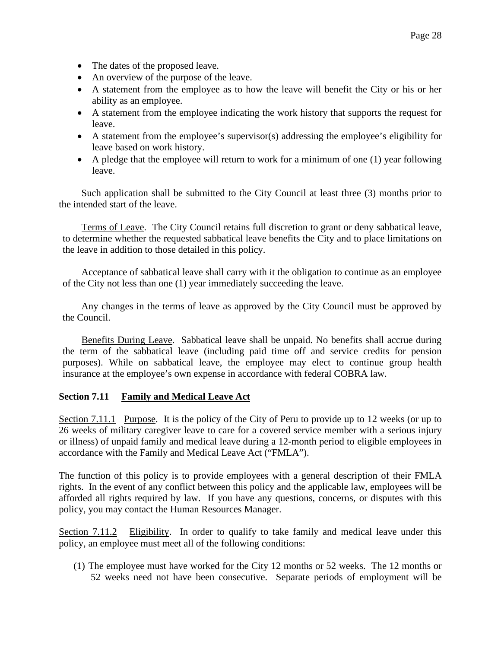- The dates of the proposed leave.
- An overview of the purpose of the leave.
- A statement from the employee as to how the leave will benefit the City or his or her ability as an employee.
- A statement from the employee indicating the work history that supports the request for leave.
- A statement from the employee's supervisor(s) addressing the employee's eligibility for leave based on work history.
- A pledge that the employee will return to work for a minimum of one (1) year following leave.

Such application shall be submitted to the City Council at least three (3) months prior to the intended start of the leave.

Terms of Leave. The City Council retains full discretion to grant or deny sabbatical leave, to determine whether the requested sabbatical leave benefits the City and to place limitations on the leave in addition to those detailed in this policy.

Acceptance of sabbatical leave shall carry with it the obligation to continue as an employee of the City not less than one (1) year immediately succeeding the leave.

Any changes in the terms of leave as approved by the City Council must be approved by the Council.

Benefits During Leave. Sabbatical leave shall be unpaid. No benefits shall accrue during the term of the sabbatical leave (including paid time off and service credits for pension purposes). While on sabbatical leave, the employee may elect to continue group health insurance at the employee's own expense in accordance with federal COBRA law.

#### **Section 7.11 Family and Medical Leave Act**

Section 7.11.1 Purpose. It is the policy of the City of Peru to provide up to 12 weeks (or up to 26 weeks of military caregiver leave to care for a covered service member with a serious injury or illness) of unpaid family and medical leave during a 12-month period to eligible employees in accordance with the Family and Medical Leave Act ("FMLA").

The function of this policy is to provide employees with a general description of their FMLA rights. In the event of any conflict between this policy and the applicable law, employees will be afforded all rights required by law. If you have any questions, concerns, or disputes with this policy, you may contact the Human Resources Manager.

Section 7.11.2 Eligibility. In order to qualify to take family and medical leave under this policy, an employee must meet all of the following conditions:

(1) The employee must have worked for the City 12 months or 52 weeks. The 12 months or 52 weeks need not have been consecutive. Separate periods of employment will be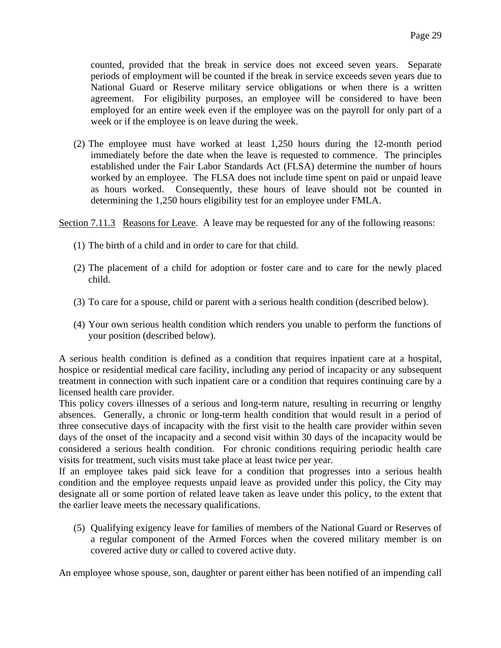counted, provided that the break in service does not exceed seven years. Separate periods of employment will be counted if the break in service exceeds seven years due to National Guard or Reserve military service obligations or when there is a written agreement. For eligibility purposes, an employee will be considered to have been employed for an entire week even if the employee was on the payroll for only part of a week or if the employee is on leave during the week.

(2) The employee must have worked at least 1,250 hours during the 12-month period immediately before the date when the leave is requested to commence. The principles established under the Fair Labor Standards Act (FLSA) determine the number of hours worked by an employee. The FLSA does not include time spent on paid or unpaid leave as hours worked. Consequently, these hours of leave should not be counted in determining the 1,250 hours eligibility test for an employee under FMLA.

Section 7.11.3 Reasons for Leave. A leave may be requested for any of the following reasons:

- (1) The birth of a child and in order to care for that child.
- (2) The placement of a child for adoption or foster care and to care for the newly placed child.
- (3) To care for a spouse, child or parent with a serious health condition (described below).
- (4) Your own serious health condition which renders you unable to perform the functions of your position (described below).

A serious health condition is defined as a condition that requires inpatient care at a hospital, hospice or residential medical care facility, including any period of incapacity or any subsequent treatment in connection with such inpatient care or a condition that requires continuing care by a licensed health care provider.

This policy covers illnesses of a serious and long-term nature, resulting in recurring or lengthy absences. Generally, a chronic or long-term health condition that would result in a period of three consecutive days of incapacity with the first visit to the health care provider within seven days of the onset of the incapacity and a second visit within 30 days of the incapacity would be considered a serious health condition. For chronic conditions requiring periodic health care visits for treatment, such visits must take place at least twice per year.

If an employee takes paid sick leave for a condition that progresses into a serious health condition and the employee requests unpaid leave as provided under this policy, the City may designate all or some portion of related leave taken as leave under this policy, to the extent that the earlier leave meets the necessary qualifications.

(5) Qualifying exigency leave for families of members of the National Guard or Reserves of a regular component of the Armed Forces when the covered military member is on covered active duty or called to covered active duty.

An employee whose spouse, son, daughter or parent either has been notified of an impending call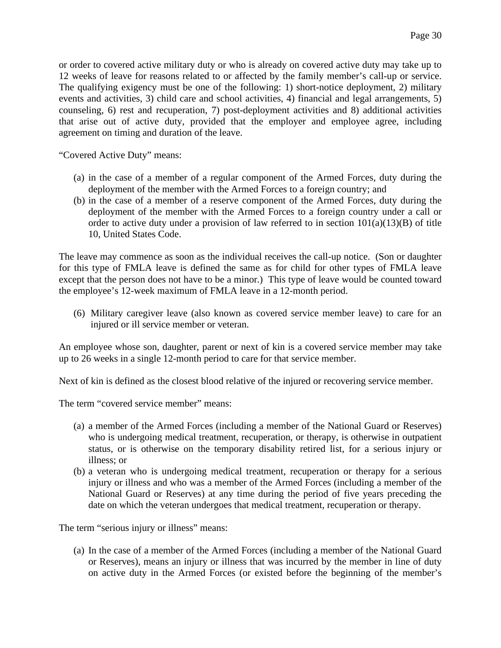or order to covered active military duty or who is already on covered active duty may take up to 12 weeks of leave for reasons related to or affected by the family member's call-up or service. The qualifying exigency must be one of the following: 1) short-notice deployment, 2) military events and activities, 3) child care and school activities, 4) financial and legal arrangements, 5) counseling, 6) rest and recuperation, 7) post-deployment activities and 8) additional activities that arise out of active duty, provided that the employer and employee agree, including agreement on timing and duration of the leave.

"Covered Active Duty" means:

- (a) in the case of a member of a regular component of the Armed Forces, duty during the deployment of the member with the Armed Forces to a foreign country; and
- (b) in the case of a member of a reserve component of the Armed Forces, duty during the deployment of the member with the Armed Forces to a foreign country under a call or order to active duty under a provision of law referred to in section  $101(a)(13)(B)$  of title 10, United States Code.

The leave may commence as soon as the individual receives the call-up notice. (Son or daughter for this type of FMLA leave is defined the same as for child for other types of FMLA leave except that the person does not have to be a minor.) This type of leave would be counted toward the employee's 12-week maximum of FMLA leave in a 12-month period.

(6) Military caregiver leave (also known as covered service member leave) to care for an injured or ill service member or veteran.

An employee whose son, daughter, parent or next of kin is a covered service member may take up to 26 weeks in a single 12-month period to care for that service member.

Next of kin is defined as the closest blood relative of the injured or recovering service member.

The term "covered service member" means:

- (a) a member of the Armed Forces (including a member of the National Guard or Reserves) who is undergoing medical treatment, recuperation, or therapy, is otherwise in outpatient status, or is otherwise on the temporary disability retired list, for a serious injury or illness; or
- (b) a veteran who is undergoing medical treatment, recuperation or therapy for a serious injury or illness and who was a member of the Armed Forces (including a member of the National Guard or Reserves) at any time during the period of five years preceding the date on which the veteran undergoes that medical treatment, recuperation or therapy.

The term "serious injury or illness" means:

(a) In the case of a member of the Armed Forces (including a member of the National Guard or Reserves), means an injury or illness that was incurred by the member in line of duty on active duty in the Armed Forces (or existed before the beginning of the member's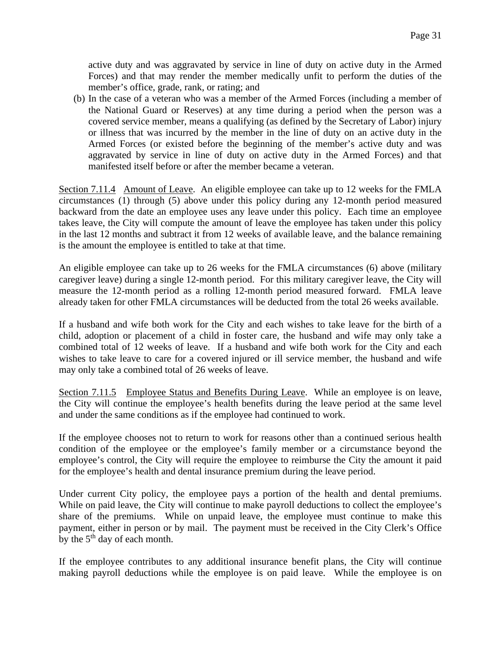active duty and was aggravated by service in line of duty on active duty in the Armed Forces) and that may render the member medically unfit to perform the duties of the member's office, grade, rank, or rating; and

(b) In the case of a veteran who was a member of the Armed Forces (including a member of the National Guard or Reserves) at any time during a period when the person was a covered service member, means a qualifying (as defined by the Secretary of Labor) injury or illness that was incurred by the member in the line of duty on an active duty in the Armed Forces (or existed before the beginning of the member's active duty and was aggravated by service in line of duty on active duty in the Armed Forces) and that manifested itself before or after the member became a veteran.

Section 7.11.4 Amount of Leave. An eligible employee can take up to 12 weeks for the FMLA circumstances (1) through (5) above under this policy during any 12-month period measured backward from the date an employee uses any leave under this policy. Each time an employee takes leave, the City will compute the amount of leave the employee has taken under this policy in the last 12 months and subtract it from 12 weeks of available leave, and the balance remaining is the amount the employee is entitled to take at that time.

An eligible employee can take up to 26 weeks for the FMLA circumstances (6) above (military caregiver leave) during a single 12-month period. For this military caregiver leave, the City will measure the 12-month period as a rolling 12-month period measured forward. FMLA leave already taken for other FMLA circumstances will be deducted from the total 26 weeks available.

If a husband and wife both work for the City and each wishes to take leave for the birth of a child, adoption or placement of a child in foster care, the husband and wife may only take a combined total of 12 weeks of leave. If a husband and wife both work for the City and each wishes to take leave to care for a covered injured or ill service member, the husband and wife may only take a combined total of 26 weeks of leave.

Section 7.11.5 Employee Status and Benefits During Leave. While an employee is on leave, the City will continue the employee's health benefits during the leave period at the same level and under the same conditions as if the employee had continued to work.

If the employee chooses not to return to work for reasons other than a continued serious health condition of the employee or the employee's family member or a circumstance beyond the employee's control, the City will require the employee to reimburse the City the amount it paid for the employee's health and dental insurance premium during the leave period.

Under current City policy, the employee pays a portion of the health and dental premiums. While on paid leave, the City will continue to make payroll deductions to collect the employee's share of the premiums. While on unpaid leave, the employee must continue to make this payment, either in person or by mail. The payment must be received in the City Clerk's Office by the  $5<sup>th</sup>$  day of each month.

If the employee contributes to any additional insurance benefit plans, the City will continue making payroll deductions while the employee is on paid leave. While the employee is on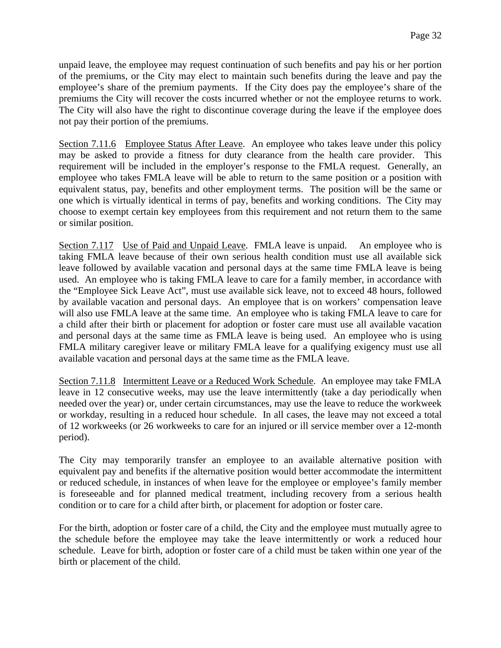unpaid leave, the employee may request continuation of such benefits and pay his or her portion of the premiums, or the City may elect to maintain such benefits during the leave and pay the employee's share of the premium payments. If the City does pay the employee's share of the premiums the City will recover the costs incurred whether or not the employee returns to work. The City will also have the right to discontinue coverage during the leave if the employee does not pay their portion of the premiums.

Section 7.11.6 Employee Status After Leave. An employee who takes leave under this policy may be asked to provide a fitness for duty clearance from the health care provider. This requirement will be included in the employer's response to the FMLA request. Generally, an employee who takes FMLA leave will be able to return to the same position or a position with equivalent status, pay, benefits and other employment terms. The position will be the same or one which is virtually identical in terms of pay, benefits and working conditions. The City may choose to exempt certain key employees from this requirement and not return them to the same or similar position.

Section 7.117 Use of Paid and Unpaid Leave. FMLA leave is unpaid. An employee who is taking FMLA leave because of their own serious health condition must use all available sick leave followed by available vacation and personal days at the same time FMLA leave is being used. An employee who is taking FMLA leave to care for a family member, in accordance with the "Employee Sick Leave Act", must use available sick leave, not to exceed 48 hours, followed by available vacation and personal days. An employee that is on workers' compensation leave will also use FMLA leave at the same time. An employee who is taking FMLA leave to care for a child after their birth or placement for adoption or foster care must use all available vacation and personal days at the same time as FMLA leave is being used. An employee who is using FMLA military caregiver leave or military FMLA leave for a qualifying exigency must use all available vacation and personal days at the same time as the FMLA leave.

Section 7.11.8 Intermittent Leave or a Reduced Work Schedule. An employee may take FMLA leave in 12 consecutive weeks, may use the leave intermittently (take a day periodically when needed over the year) or, under certain circumstances, may use the leave to reduce the workweek or workday, resulting in a reduced hour schedule. In all cases, the leave may not exceed a total of 12 workweeks (or 26 workweeks to care for an injured or ill service member over a 12-month period).

The City may temporarily transfer an employee to an available alternative position with equivalent pay and benefits if the alternative position would better accommodate the intermittent or reduced schedule, in instances of when leave for the employee or employee's family member is foreseeable and for planned medical treatment, including recovery from a serious health condition or to care for a child after birth, or placement for adoption or foster care.

For the birth, adoption or foster care of a child, the City and the employee must mutually agree to the schedule before the employee may take the leave intermittently or work a reduced hour schedule. Leave for birth, adoption or foster care of a child must be taken within one year of the birth or placement of the child.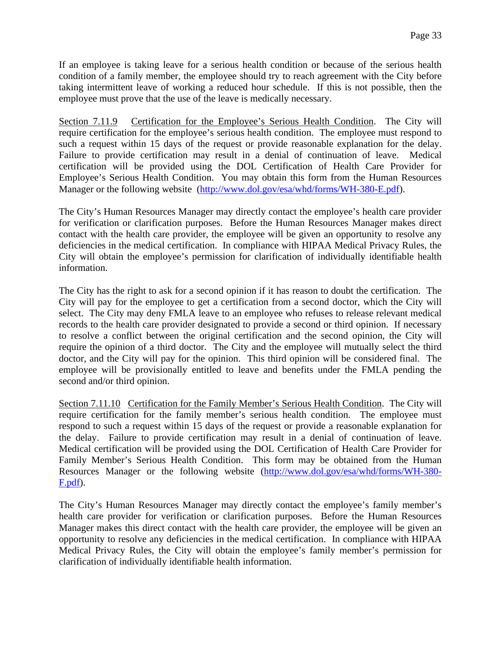If an employee is taking leave for a serious health condition or because of the serious health condition of a family member, the employee should try to reach agreement with the City before taking intermittent leave of working a reduced hour schedule. If this is not possible, then the employee must prove that the use of the leave is medically necessary.

Section 7.11.9 Certification for the Employee's Serious Health Condition. The City will require certification for the employee's serious health condition. The employee must respond to such a request within 15 days of the request or provide reasonable explanation for the delay. Failure to provide certification may result in a denial of continuation of leave. Medical certification will be provided using the DOL Certification of Health Care Provider for Employee's Serious Health Condition. You may obtain this form from the Human Resources Manager or the following website [\(http://www.dol.gov/esa/whd/forms/WH-380-E.pdf\)](http://www.dol.gov/esa/whd/forms/WH-380-E.pdf).

The City's Human Resources Manager may directly contact the employee's health care provider for verification or clarification purposes. Before the Human Resources Manager makes direct contact with the health care provider, the employee will be given an opportunity to resolve any deficiencies in the medical certification. In compliance with HIPAA Medical Privacy Rules, the City will obtain the employee's permission for clarification of individually identifiable health information.

The City has the right to ask for a second opinion if it has reason to doubt the certification. The City will pay for the employee to get a certification from a second doctor, which the City will select. The City may deny FMLA leave to an employee who refuses to release relevant medical records to the health care provider designated to provide a second or third opinion. If necessary to resolve a conflict between the original certification and the second opinion, the City will require the opinion of a third doctor. The City and the employee will mutually select the third doctor, and the City will pay for the opinion. This third opinion will be considered final. The employee will be provisionally entitled to leave and benefits under the FMLA pending the second and/or third opinion.

Section 7.11.10 Certification for the Family Member's Serious Health Condition. The City will require certification for the family member's serious health condition. The employee must respond to such a request within 15 days of the request or provide a reasonable explanation for the delay. Failure to provide certification may result in a denial of continuation of leave. Medical certification will be provided using the DOL Certification of Health Care Provider for Family Member's Serious Health Condition. This form may be obtained from the Human Resources Manager or the following website [\(http://www.dol.gov/esa/whd/forms/WH-380-](http://www.dol.gov/esa/whd/forms/WH-380-F.pdf) [F.pdf\)](http://www.dol.gov/esa/whd/forms/WH-380-F.pdf).

The City's Human Resources Manager may directly contact the employee's family member's health care provider for verification or clarification purposes. Before the Human Resources Manager makes this direct contact with the health care provider, the employee will be given an opportunity to resolve any deficiencies in the medical certification. In compliance with HIPAA Medical Privacy Rules, the City will obtain the employee's family member's permission for clarification of individually identifiable health information.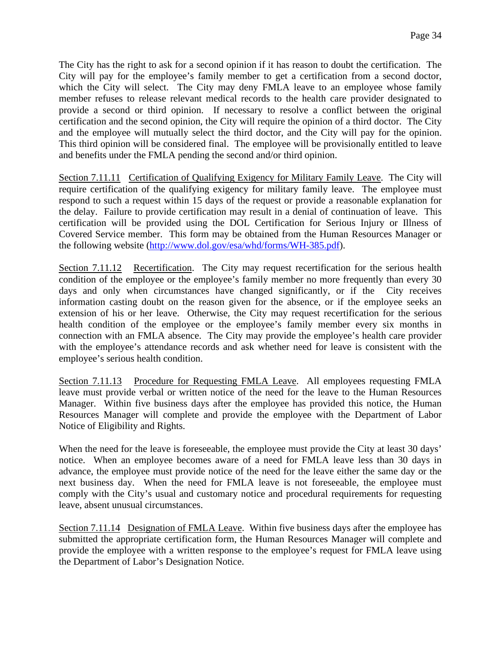The City has the right to ask for a second opinion if it has reason to doubt the certification. The City will pay for the employee's family member to get a certification from a second doctor, which the City will select. The City may deny FMLA leave to an employee whose family member refuses to release relevant medical records to the health care provider designated to provide a second or third opinion. If necessary to resolve a conflict between the original certification and the second opinion, the City will require the opinion of a third doctor. The City and the employee will mutually select the third doctor, and the City will pay for the opinion. This third opinion will be considered final. The employee will be provisionally entitled to leave and benefits under the FMLA pending the second and/or third opinion.

Section 7.11.11 Certification of Qualifying Exigency for Military Family Leave. The City will require certification of the qualifying exigency for military family leave. The employee must respond to such a request within 15 days of the request or provide a reasonable explanation for the delay. Failure to provide certification may result in a denial of continuation of leave. This certification will be provided using the DOL Certification for Serious Injury or Illness of Covered Service member. This form may be obtained from the Human Resources Manager or the following website [\(http://www.dol.gov/esa/whd/forms/WH-385.pdf\)](http://www.dol.gov/esa/whd/forms/WH-385.pdf).

Section 7.11.12 Recertification. The City may request recertification for the serious health condition of the employee or the employee's family member no more frequently than every 30 days and only when circumstances have changed significantly, or if the City receives information casting doubt on the reason given for the absence, or if the employee seeks an extension of his or her leave. Otherwise, the City may request recertification for the serious health condition of the employee or the employee's family member every six months in connection with an FMLA absence. The City may provide the employee's health care provider with the employee's attendance records and ask whether need for leave is consistent with the employee's serious health condition.

Section 7.11.13 Procedure for Requesting FMLA Leave. All employees requesting FMLA leave must provide verbal or written notice of the need for the leave to the Human Resources Manager. Within five business days after the employee has provided this notice, the Human Resources Manager will complete and provide the employee with the Department of Labor Notice of Eligibility and Rights.

When the need for the leave is foreseeable, the employee must provide the City at least 30 days' notice. When an employee becomes aware of a need for FMLA leave less than 30 days in advance, the employee must provide notice of the need for the leave either the same day or the next business day. When the need for FMLA leave is not foreseeable, the employee must comply with the City's usual and customary notice and procedural requirements for requesting leave, absent unusual circumstances.

Section 7.11.14 Designation of FMLA Leave. Within five business days after the employee has submitted the appropriate certification form, the Human Resources Manager will complete and provide the employee with a written response to the employee's request for FMLA leave using the Department of Labor's Designation Notice.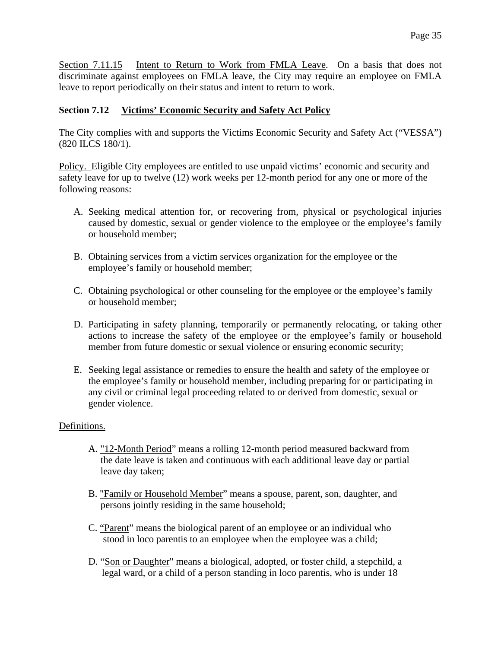Section 7.11.15 Intent to Return to Work from FMLA Leave. On a basis that does not discriminate against employees on FMLA leave, the City may require an employee on FMLA leave to report periodically on their status and intent to return to work.

# **Section 7.12 Victims' Economic Security and Safety Act Policy**

The City complies with and supports the Victims Economic Security and Safety Act ("VESSA") (820 ILCS 180/1).

Policy. Eligible City employees are entitled to use unpaid victims' economic and security and safety leave for up to twelve (12) work weeks per 12-month period for any one or more of the following reasons:

- A. Seeking medical attention for, or recovering from, physical or psychological injuries caused by domestic, sexual or gender violence to the employee or the employee's family or household member;
- B. Obtaining services from a victim services organization for the employee or the employee's family or household member;
- C. Obtaining psychological or other counseling for the employee or the employee's family or household member;
- D. Participating in safety planning, temporarily or permanently relocating, or taking other actions to increase the safety of the employee or the employee's family or household member from future domestic or sexual violence or ensuring economic security;
- E. Seeking legal assistance or remedies to ensure the health and safety of the employee or the employee's family or household member, including preparing for or participating in any civil or criminal legal proceeding related to or derived from domestic, sexual or gender violence.

#### Definitions.

- A. "12-Month Period" means a rolling 12-month period measured backward from the date leave is taken and continuous with each additional leave day or partial leave day taken;
- B. "Family or Household Member" means a spouse, parent, son, daughter, and persons jointly residing in the same household;
- C. "Parent" means the biological parent of an employee or an individual who stood in loco parentis to an employee when the employee was a child;
- D. "Son or Daughter" means a biological, adopted, or foster child, a stepchild, a legal ward, or a child of a person standing in loco parentis, who is under 18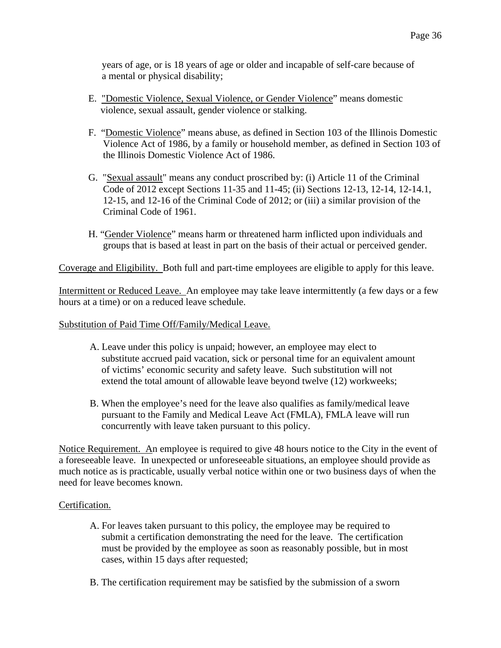years of age, or is 18 years of age or older and incapable of self-care because of a mental or physical disability;

- E. "Domestic Violence, Sexual Violence, or Gender Violence" means domestic violence, sexual assault, gender violence or stalking.
- F. "Domestic Violence" means abuse, as defined in Section 103 of the Illinois Domestic Violence Act of 1986, by a family or household member, as defined in Section 103 of the Illinois Domestic Violence Act of 1986.
- G. "Sexual assault" means any conduct proscribed by: (i) Article 11 of the Criminal Code of 2012 except Sections 11-35 and 11-45; (ii) Sections 12-13, 12-14, 12-14.1, 12-15, and 12-16 of the Criminal Code of 2012; or (iii) a similar provision of the Criminal Code of 1961.
- H. "Gender Violence" means harm or threatened harm inflicted upon individuals and groups that is based at least in part on the basis of their actual or perceived gender.

Coverage and Eligibility. Both full and part-time employees are eligible to apply for this leave.

Intermittent or Reduced Leave. An employee may take leave intermittently (a few days or a few hours at a time) or on a reduced leave schedule.

#### Substitution of Paid Time Off/Family/Medical Leave.

- A. Leave under this policy is unpaid; however, an employee may elect to substitute accrued paid vacation, sick or personal time for an equivalent amount of victims' economic security and safety leave. Such substitution will not extend the total amount of allowable leave beyond twelve (12) workweeks;
- B. When the employee's need for the leave also qualifies as family/medical leave pursuant to the Family and Medical Leave Act (FMLA), FMLA leave will run concurrently with leave taken pursuant to this policy.

Notice Requirement. An employee is required to give 48 hours notice to the City in the event of a foreseeable leave. In unexpected or unforeseeable situations, an employee should provide as much notice as is practicable, usually verbal notice within one or two business days of when the need for leave becomes known.

#### Certification.

- A. For leaves taken pursuant to this policy, the employee may be required to submit a certification demonstrating the need for the leave. The certification must be provided by the employee as soon as reasonably possible, but in most cases, within 15 days after requested;
- B. The certification requirement may be satisfied by the submission of a sworn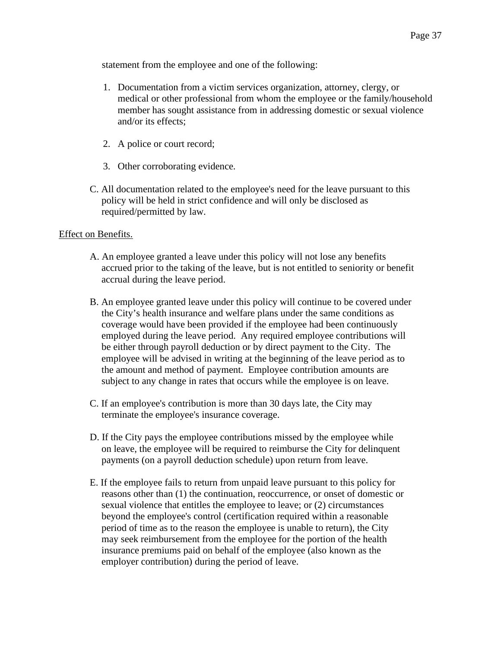statement from the employee and one of the following:

- 1. Documentation from a victim services organization, attorney, clergy, or medical or other professional from whom the employee or the family/household member has sought assistance from in addressing domestic or sexual violence and/or its effects;
- 2. A police or court record;
- 3. Other corroborating evidence.
- C. All documentation related to the employee's need for the leave pursuant to this policy will be held in strict confidence and will only be disclosed as required/permitted by law.

#### Effect on Benefits.

- A. An employee granted a leave under this policy will not lose any benefits accrued prior to the taking of the leave, but is not entitled to seniority or benefit accrual during the leave period.
- B. An employee granted leave under this policy will continue to be covered under the City's health insurance and welfare plans under the same conditions as coverage would have been provided if the employee had been continuously employed during the leave period. Any required employee contributions will be either through payroll deduction or by direct payment to the City. The employee will be advised in writing at the beginning of the leave period as to the amount and method of payment. Employee contribution amounts are subject to any change in rates that occurs while the employee is on leave.
- C. If an employee's contribution is more than 30 days late, the City may terminate the employee's insurance coverage.
- D. If the City pays the employee contributions missed by the employee while on leave, the employee will be required to reimburse the City for delinquent payments (on a payroll deduction schedule) upon return from leave.
- E. If the employee fails to return from unpaid leave pursuant to this policy for reasons other than (1) the continuation, reoccurrence, or onset of domestic or sexual violence that entitles the employee to leave; or (2) circumstances beyond the employee's control (certification required within a reasonable period of time as to the reason the employee is unable to return), the City may seek reimbursement from the employee for the portion of the health insurance premiums paid on behalf of the employee (also known as the employer contribution) during the period of leave.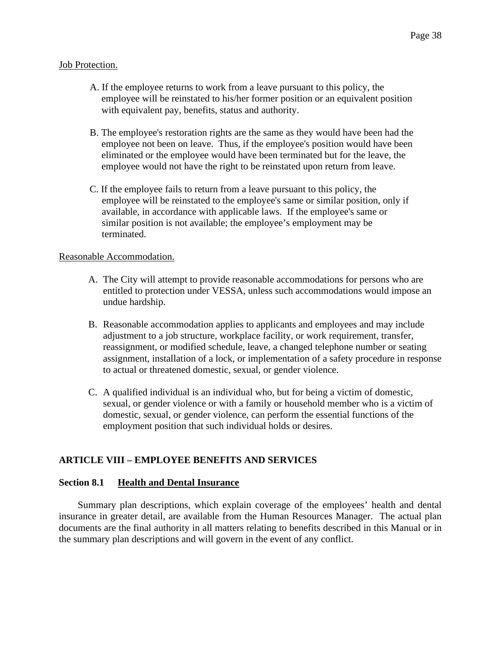#### Job Protection.

- A. If the employee returns to work from a leave pursuant to this policy, the employee will be reinstated to his/her former position or an equivalent position with equivalent pay, benefits, status and authority.
- B. The employee's restoration rights are the same as they would have been had the employee not been on leave. Thus, if the employee's position would have been eliminated or the employee would have been terminated but for the leave, the employee would not have the right to be reinstated upon return from leave.
- C. If the employee fails to return from a leave pursuant to this policy, the employee will be reinstated to the employee's same or similar position, only if available, in accordance with applicable laws. If the employee's same or similar position is not available; the employee's employment may be terminated.

#### Reasonable Accommodation.

- A. The City will attempt to provide reasonable accommodations for persons who are entitled to protection under VESSA, unless such accommodations would impose an undue hardship.
- B. Reasonable accommodation applies to applicants and employees and may include adjustment to a job structure, workplace facility, or work requirement, transfer, reassignment, or modified schedule, leave, a changed telephone number or seating assignment, installation of a lock, or implementation of a safety procedure in response to actual or threatened domestic, sexual, or gender violence.
- C. A qualified individual is an individual who, but for being a victim of domestic, sexual, or gender violence or with a family or household member who is a victim of domestic, sexual, or gender violence, can perform the essential functions of the employment position that such individual holds or desires.

#### **ARTICLE VIII – EMPLOYEE BENEFITS AND SERVICES**

#### **Section 8.1 Health and Dental Insurance**

Summary plan descriptions, which explain coverage of the employees' health and dental insurance in greater detail, are available from the Human Resources Manager. The actual plan documents are the final authority in all matters relating to benefits described in this Manual or in the summary plan descriptions and will govern in the event of any conflict.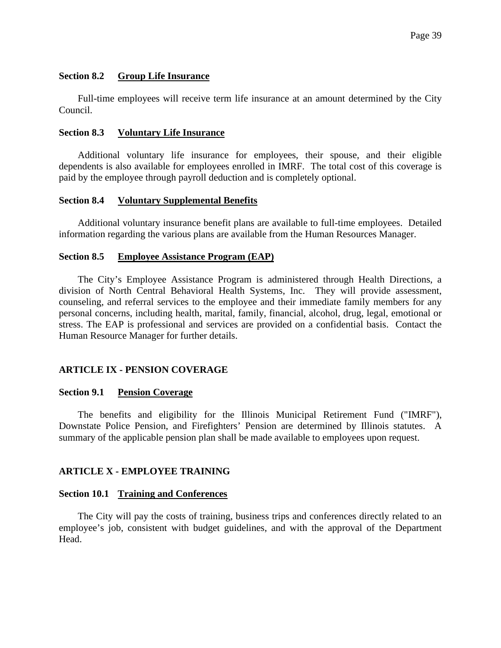#### **Section 8.2 Group Life Insurance**

Full-time employees will receive term life insurance at an amount determined by the City Council.

#### **Section 8.3 Voluntary Life Insurance**

Additional voluntary life insurance for employees, their spouse, and their eligible dependents is also available for employees enrolled in IMRF. The total cost of this coverage is paid by the employee through payroll deduction and is completely optional.

#### **Section 8.4 Voluntary Supplemental Benefits**

Additional voluntary insurance benefit plans are available to full-time employees. Detailed information regarding the various plans are available from the Human Resources Manager.

#### **Section 8.5 Employee Assistance Program (EAP)**

The City's Employee Assistance Program is administered through Health Directions, a division of North Central Behavioral Health Systems, Inc. They will provide assessment, counseling, and referral services to the employee and their immediate family members for any personal concerns, including health, marital, family, financial, alcohol, drug, legal, emotional or stress. The EAP is professional and services are provided on a confidential basis. Contact the Human Resource Manager for further details.

#### **ARTICLE IX - PENSION COVERAGE**

#### **Section 9.1 Pension Coverage**

The benefits and eligibility for the Illinois Municipal Retirement Fund ("IMRF"), Downstate Police Pension, and Firefighters' Pension are determined by Illinois statutes. A summary of the applicable pension plan shall be made available to employees upon request.

#### **ARTICLE X - EMPLOYEE TRAINING**

#### **Section 10.1 Training and Conferences**

The City will pay the costs of training, business trips and conferences directly related to an employee's job, consistent with budget guidelines, and with the approval of the Department Head.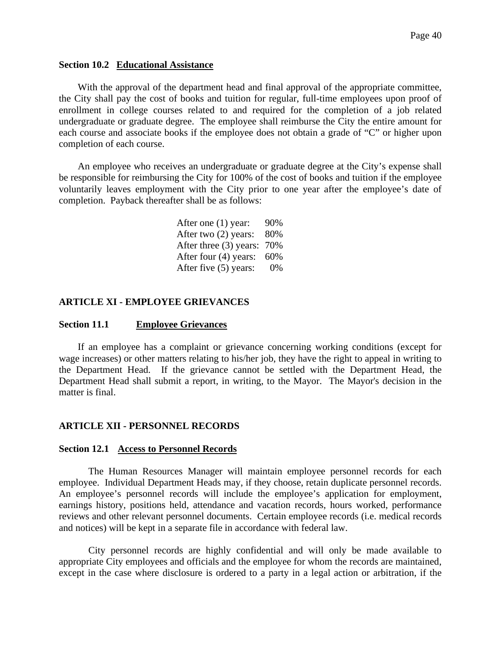#### **Section 10.2 Educational Assistance**

With the approval of the department head and final approval of the appropriate committee, the City shall pay the cost of books and tuition for regular, full-time employees upon proof of enrollment in college courses related to and required for the completion of a job related undergraduate or graduate degree. The employee shall reimburse the City the entire amount for each course and associate books if the employee does not obtain a grade of "C" or higher upon completion of each course.

An employee who receives an undergraduate or graduate degree at the City's expense shall be responsible for reimbursing the City for 100% of the cost of books and tuition if the employee voluntarily leaves employment with the City prior to one year after the employee's date of completion. Payback thereafter shall be as follows:

| After one (1) year:    | 90% |
|------------------------|-----|
| After two (2) years:   | 80% |
| After three (3) years: | 70% |
| After four (4) years:  | 60% |
| After five (5) years:  | 0%  |

#### **ARTICLE XI - EMPLOYEE GRIEVANCES**

#### **Section 11.1 Employee Grievances**

If an employee has a complaint or grievance concerning working conditions (except for wage increases) or other matters relating to his/her job, they have the right to appeal in writing to the Department Head. If the grievance cannot be settled with the Department Head, the Department Head shall submit a report, in writing, to the Mayor. The Mayor's decision in the matter is final.

#### **ARTICLE XII - PERSONNEL RECORDS**

#### **Section 12.1 Access to Personnel Records**

The Human Resources Manager will maintain employee personnel records for each employee. Individual Department Heads may, if they choose, retain duplicate personnel records. An employee's personnel records will include the employee's application for employment, earnings history, positions held, attendance and vacation records, hours worked, performance reviews and other relevant personnel documents. Certain employee records (i.e. medical records and notices) will be kept in a separate file in accordance with federal law.

City personnel records are highly confidential and will only be made available to appropriate City employees and officials and the employee for whom the records are maintained, except in the case where disclosure is ordered to a party in a legal action or arbitration, if the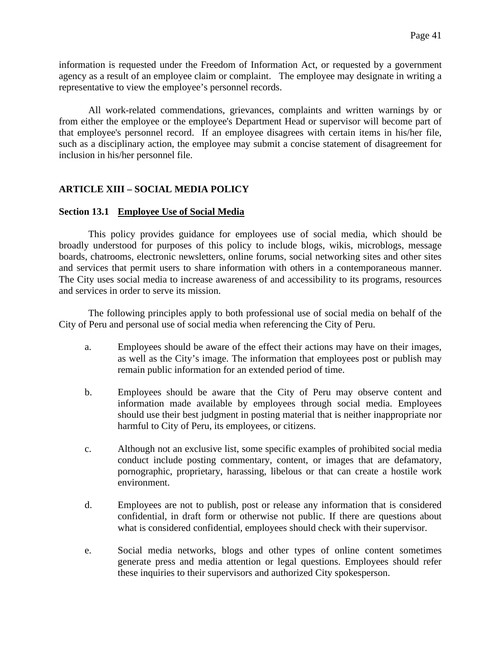information is requested under the Freedom of Information Act, or requested by a government agency as a result of an employee claim or complaint. The employee may designate in writing a representative to view the employee's personnel records.

All work-related commendations, grievances, complaints and written warnings by or from either the employee or the employee's Department Head or supervisor will become part of that employee's personnel record. If an employee disagrees with certain items in his/her file, such as a disciplinary action, the employee may submit a concise statement of disagreement for inclusion in his/her personnel file.

# **ARTICLE XIII – SOCIAL MEDIA POLICY**

#### **Section 13.1 Employee Use of Social Media**

This policy provides guidance for employees use of social media, which should be broadly understood for purposes of this policy to include blogs, wikis, microblogs, message boards, chatrooms, electronic newsletters, online forums, social networking sites and other sites and services that permit users to share information with others in a contemporaneous manner. The City uses social media to increase awareness of and accessibility to its programs, resources and services in order to serve its mission.

The following principles apply to both professional use of social media on behalf of the City of Peru and personal use of social media when referencing the City of Peru.

- a. Employees should be aware of the effect their actions may have on their images, as well as the City's image. The information that employees post or publish may remain public information for an extended period of time.
- b. Employees should be aware that the City of Peru may observe content and information made available by employees through social media. Employees should use their best judgment in posting material that is neither inappropriate nor harmful to City of Peru, its employees, or citizens.
- c. Although not an exclusive list, some specific examples of prohibited social media conduct include posting commentary, content, or images that are defamatory, pornographic, proprietary, harassing, libelous or that can create a hostile work environment.
- d. Employees are not to publish, post or release any information that is considered confidential, in draft form or otherwise not public. If there are questions about what is considered confidential, employees should check with their supervisor.
- e. Social media networks, blogs and other types of online content sometimes generate press and media attention or legal questions. Employees should refer these inquiries to their supervisors and authorized City spokesperson.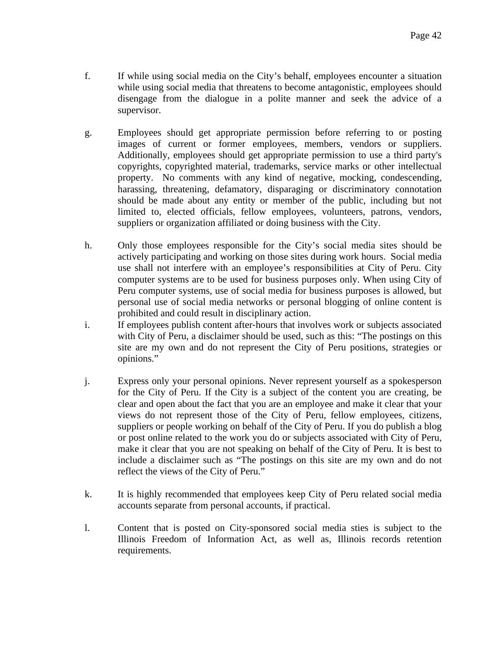- f. If while using social media on the City's behalf, employees encounter a situation while using social media that threatens to become antagonistic, employees should disengage from the dialogue in a polite manner and seek the advice of a supervisor.
- g. Employees should get appropriate permission before referring to or posting images of current or former employees, members, vendors or suppliers. Additionally, employees should get appropriate permission to use a third party's copyrights, copyrighted material, trademarks, service marks or other intellectual property. No comments with any kind of negative, mocking, condescending, harassing, threatening, defamatory, disparaging or discriminatory connotation should be made about any entity or member of the public, including but not limited to, elected officials, fellow employees, volunteers, patrons, vendors, suppliers or organization affiliated or doing business with the City.
- h. Only those employees responsible for the City's social media sites should be actively participating and working on those sites during work hours. Social media use shall not interfere with an employee's responsibilities at City of Peru. City computer systems are to be used for business purposes only. When using City of Peru computer systems, use of social media for business purposes is allowed, but personal use of social media networks or personal blogging of online content is prohibited and could result in disciplinary action.
- i. If employees publish content after-hours that involves work or subjects associated with City of Peru, a disclaimer should be used, such as this: "The postings on this site are my own and do not represent the City of Peru positions, strategies or opinions."
- j. Express only your personal opinions. Never represent yourself as a spokesperson for the City of Peru. If the City is a subject of the content you are creating, be clear and open about the fact that you are an employee and make it clear that your views do not represent those of the City of Peru, fellow employees, citizens, suppliers or people working on behalf of the City of Peru. If you do publish a blog or post online related to the work you do or subjects associated with City of Peru, make it clear that you are not speaking on behalf of the City of Peru. It is best to include a disclaimer such as "The postings on this site are my own and do not reflect the views of the City of Peru."
- k. It is highly recommended that employees keep City of Peru related social media accounts separate from personal accounts, if practical.
- l. Content that is posted on City-sponsored social media sties is subject to the Illinois Freedom of Information Act, as well as, Illinois records retention requirements.